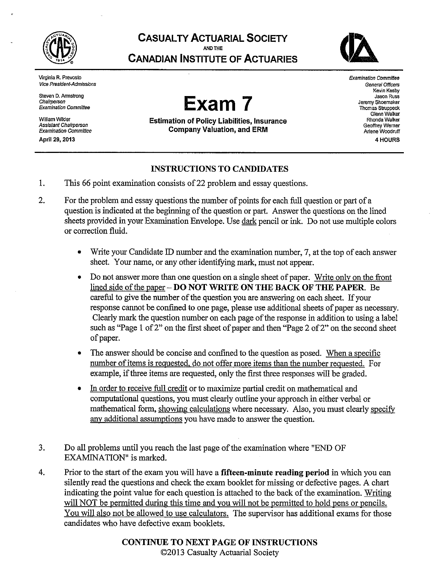

**CASUALTY ACTUARIAL SOCIETY** 

AND THE

**CANADIAN INSTITUTE OF ACTUARIES** 



Virginia R. Prevosto **Vice President-Admissions** 

Steven D. Armstrong Chairperson **Examination Committee** 

William Wilder Assistant Chairperson **Examination Committee** 

April 29, 2013

# Exam 7

**Estimation of Policy Liabilities, Insurance Company Valuation, and ERM** 

**Examination Committee** General Officers Kevin Kesby Jason Russ Jeremy Shoemaker Thomas Struppeck Glenn Walker Rhonda Walker Geoffrey Werner Arlene Woodruff 4 HOURS

# **INSTRUCTIONS TO CANDIDATES**

- $\mathbf{1}$ . This 66 point examination consists of 22 problem and essay questions.
- $\overline{2}$ . For the problem and essay questions the number of points for each full question or part of a question is indicated at the beginning of the question or part. Answer the questions on the lined sheets provided in your Examination Envelope. Use dark pencil or ink. Do not use multiple colors or correction fluid.
	- Write your Candidate ID number and the examination number, 7, at the top of each answer sheet. Your name, or any other identifying mark, must not appear.
	- Do not answer more than one question on a single sheet of paper. Write only on the front  $\bullet$ lined side of the paper - DO NOT WRITE ON THE BACK OF THE PAPER. Be careful to give the number of the question you are answering on each sheet. If your response cannot be confined to one page, please use additional sheets of paper as necessary. Clearly mark the question number on each page of the response in addition to using a label such as "Page 1 of 2" on the first sheet of paper and then "Page 2 of 2" on the second sheet of paper.
	- The answer should be concise and confined to the question as posed. When a specific  $\bullet$ number of items is requested, do not offer more items than the number requested. For example, if three items are requested, only the first three responses will be graded.
	- $\bullet$ In order to receive full credit or to maximize partial credit on mathematical and computational questions, you must clearly outline your approach in either verbal or mathematical form, showing calculations where necessary. Also, you must clearly specify any additional assumptions you have made to answer the question.
- 3. Do all problems until you reach the last page of the examination where "END OF EXAMINATION" is marked.
- $\overline{4}$ . Prior to the start of the exam you will have a **fifteen-minute reading period** in which you can silently read the questions and check the exam booklet for missing or defective pages. A chart indicating the point value for each question is attached to the back of the examination. Writing will NOT be permitted during this time and you will not be permitted to hold pens or pencils. You will also not be allowed to use calculators. The supervisor has additional exams for those candidates who have defective exam booklets.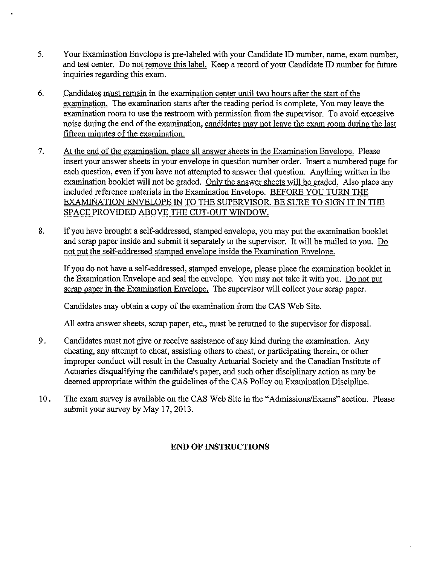- 5. Your Examination Envelope is pre-labeled with your Candidate ID number, name, exam number, and test center. Do not remove this label. Keep a record of your Candidate ID number for future inquiries regarding this exam.
- 6. Candidates must remain in the examination center until two hours after the start of the examination. The examination starts after the reading period is complete. You may leave the examination room to use the restroom with permission from the supervisor. To avoid excessive noise during the end of the examination, candidates may not leave the exam room during the last fifteen minutes of the examination.
- $7.$ At the end of the examination, place all answer sheets in the Examination Envelope. Please insert your answer sheets in your envelope in question number order. Insert a numbered page for each question, even if you have not attempted to answer that question. Anything written in the examination booklet will not be graded. Only the answer sheets will be graded. Also place any included reference materials in the Examination Envelope. BEFORE YOU TURN THE EXAMINATION ENVELOPE IN TO THE SUPERVISOR, BE SURE TO SIGN IT IN THE SPACE PROVIDED ABOVE THE CUT-OUT WINDOW.
- 8. If you have brought a self-addressed, stamped envelope, you may put the examination booklet and scrap paper inside and submit it separately to the supervisor. It will be mailed to you. Do not put the self-addressed stamped envelope inside the Examination Envelope.

If you do not have a self-addressed, stamped envelope, please place the examination booklet in the Examination Envelope and seal the envelope. You may not take it with you. Do not put scrap paper in the Examination Envelope. The supervisor will collect your scrap paper.

Candidates may obtain a copy of the examination from the CAS Web Site.

All extra answer sheets, scrap paper, etc., must be returned to the supervisor for disposal.

- 9. Candidates must not give or receive assistance of any kind during the examination. Any cheating, any attempt to cheat, assisting others to cheat, or participating therein, or other improper conduct will result in the Casualty Actuarial Society and the Canadian Institute of Actuaries disqualifying the candidate's paper, and such other disciplinary action as may be deemed appropriate within the guidelines of the CAS Policy on Examination Discipline.
- $10.$ The exam survey is available on the CAS Web Site in the "Admissions/Exams" section. Please submit your survey by May 17, 2013.

# **END OF INSTRUCTIONS**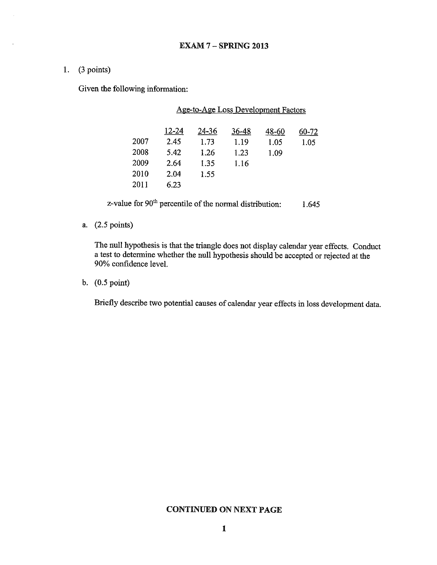1.  $(3 points)$ 

Given the following information:

|      |       |       | <b>Age-to-Age Loss Development Factors</b> |       |       |
|------|-------|-------|--------------------------------------------|-------|-------|
|      | 12-24 | 24-36 | 36-48                                      | 48-60 | 60-72 |
| 2007 | 2.45  | 1.73  | 1.19                                       | 1.05  | 1.05  |
| 2008 | 5.42  | 1 26  | 1.23                                       | 1.09  |       |
| 2009 | 2.64  | 1.35  | 1.16                                       |       |       |
| 2010 | 2.04  | 1.55  |                                            |       |       |
| 2011 | 6.23  |       |                                            |       |       |
|      |       |       |                                            |       |       |

z-value for 90<sup>th</sup> percentile of the normal distribution: 1.645

a. (2.5 points)

The null hypothesis is that the triangle does not display calendar year effects. Conduct a test to determine whether the null hypothesis should be accepted or rejected at the 90% confidence level.

b.  $(0.5 \text{ point})$ 

Briefly describe two potential causes of calendar year effects in loss development data.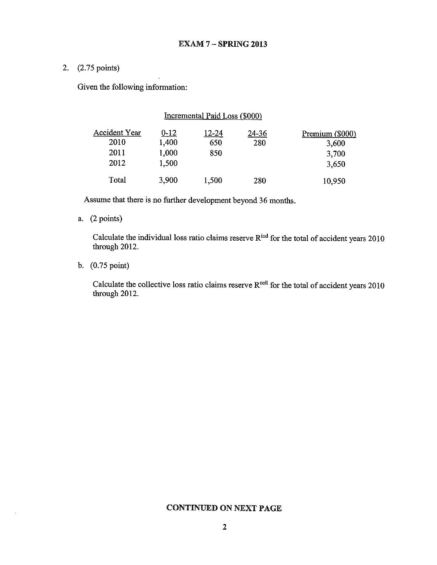# 2. (2.75 points)

Given the following information:

## Incremental Paid Loss (\$000)

| Accident Year | <u>0-12</u> | <u>12-24</u> | $24 - 36$ | Premium (\$000) |
|---------------|-------------|--------------|-----------|-----------------|
| 2010          | 1,400       | 650          | 280       | 3,600           |
| 2011          | 1,000       | 850          |           | 3,700           |
| 2012          | 1.500       |              |           | 3,650           |
| Total         | 3,900       | 1,500        | 280       | 10,950          |

Assume that there is no further development beyond 36 months.

# a.  $(2 points)$

Calculate the individual loss ratio claims reserve R<sup>ind</sup> for the total of accident years 2010 through 2012.

b. (0.75 point)

Calculate the collective loss ratio claims reserve  $R^{coll}$  for the total of accident years 2010 through 2012.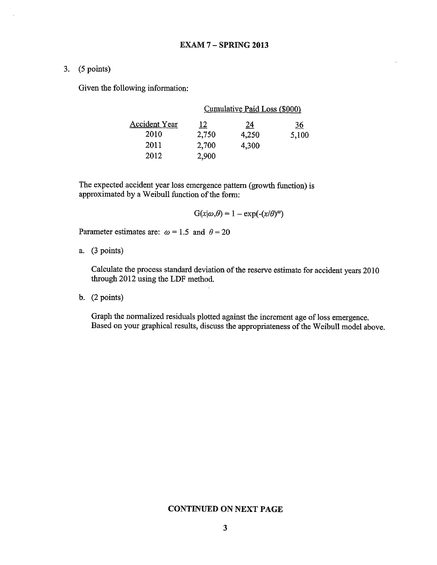3.  $(5 points)$ 

Given the following information:

|                      |           | Cumulative Paid Loss (\$000) |           |
|----------------------|-----------|------------------------------|-----------|
| <b>Accident Year</b> | <u>12</u> | <u>24</u>                    | <u>36</u> |
| 2010                 | 2,750     | 4,250                        | 5,100     |
| 2011                 | 2,700     | 4,300                        |           |
| 2012                 | 2,900     |                              |           |

The expected accident year loss emergence pattern (growth function) is approximated by a Weibull function of the form:

 $G(x|\omega,\theta) = 1 - \exp(-(x/\theta)^{\omega})$ 

Parameter estimates are:  $\omega = 1.5$  and  $\theta = 20$ 

a.  $(3 points)$ 

Calculate the process standard deviation of the reserve estimate for accident years 2010 through 2012 using the LDF method.

b.  $(2 points)$ 

Graph the normalized residuals plotted against the increment age of loss emergence. Based on your graphical results, discuss the appropriateness of the Weibull model above.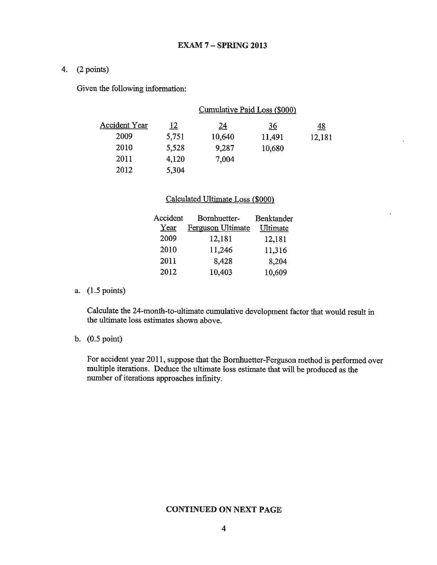## 4.  $(2 points)$

Given the following information:

|                      |            | <u>Cumulative Paid Loss (\$000)</u> |           |           |
|----------------------|------------|-------------------------------------|-----------|-----------|
| <b>Accident Year</b> | <u> 12</u> | <u> 24</u>                          | <u>36</u> | <u>48</u> |
| 2009                 | 5,751      | 10,640                              | 11,491    | 12,181    |
| 2010                 | 5,528      | 9,287                               | 10,680    |           |
| 2011                 | 4,120      | 7,004                               |           |           |
| 2012                 | 5,304      |                                     |           |           |

## Calculated Ultimate Loss (\$000)

| Accident | Bornhuetter-      | Benktander |
|----------|-------------------|------------|
| Year     | Ferguson Ultimate | Ultimate   |
| 2009     | 12,181            | 12,181     |
| 2010     | 11,246            | 11,316     |
| 2011     | 8,428             | 8,204      |
| 2012     | 10,403            | 10,609     |

a.  $(1.5 \text{ points})$ 

Calculate the 24-month-to-ultimate cumulative development factor that would result in the ultimate loss estimates shown above.

## b.  $(0.5 \text{ point})$

For accident year 2011, suppose that the Bornhuetter-Ferguson method is performed over multiple iterations. Deduce the ultimate loss estimate that will be produced as the number of iterations approaches infinity.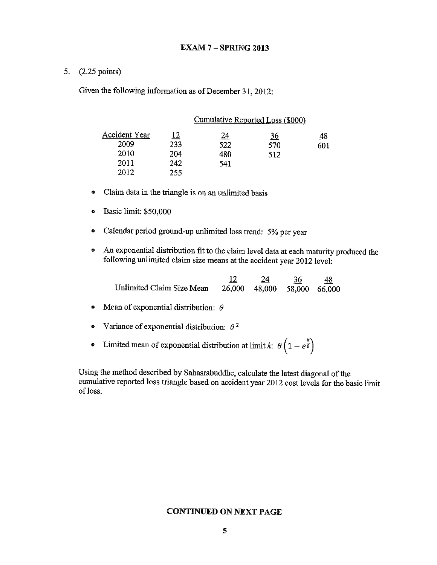## 5. (2.25 points)

Given the following information as of December 31, 2012:

|                      |            | Cumulative Reported Loss (\$000) |           |     |
|----------------------|------------|----------------------------------|-----------|-----|
| <u>Accident Year</u> | <u> 12</u> | <u> 24</u>                       | <u>36</u> | 48  |
| 2009                 | 233        | 522                              | 570       | 601 |
| 2010                 | 204        | 480                              | 512       |     |
| 2011                 | 242        | 541                              |           |     |
| 2012                 | 255        |                                  |           |     |

- Claim data in the triangle is on an unlimited basis  $\bullet$
- $\bullet$ Basic limit: \$50,000
- Calendar period ground-up unlimited loss trend: 5% per year  $\bullet$
- An exponential distribution fit to the claim level data at each maturity produced the  $\bullet$ following unlimited claim size means at the accident year 2012 level:

 $\frac{12}{26,000}$   $\frac{24}{48,000}$   $\frac{36}{58,000}$   $\frac{48}{66,000}$ Unlimited Claim Size Mean

- Mean of exponential distribution:  $\theta$  $\bullet$
- Variance of exponential distribution:  $\theta^2$  $\bullet$
- Limited mean of exponential distribution at limit k:  $\theta\left(1-e^{\frac{k}{\theta}}\right)$  $\bullet$

Using the method described by Sahasrabuddhe, calculate the latest diagonal of the cumulative reported loss triangle based on accident year 2012 cost levels for the basic limit of loss.

## **CONTINUED ON NEXT PAGE**

 $\bar{z}$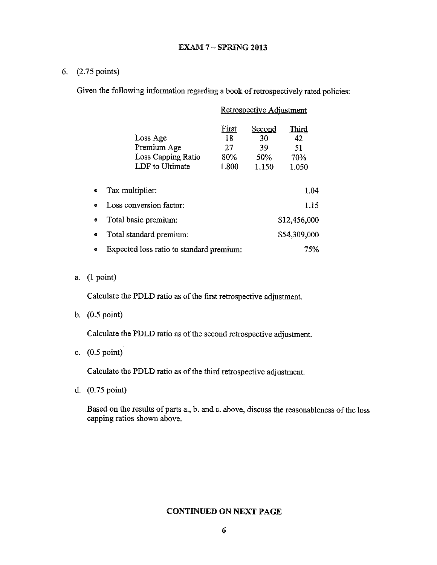## **EXAM 7 - SPRING 2013**

# 6. (2.75 points)

Given the following information regarding a book of retrospectively rated policies:

| Retrospective Adjustment                                         |                                          |                                           |                                   |  |
|------------------------------------------------------------------|------------------------------------------|-------------------------------------------|-----------------------------------|--|
| Loss Age<br>Premium Age<br>Loss Capping Ratio<br>LDF to Ultimate | <u>First</u><br>18<br>27<br>80%<br>1.800 | <b>Second</b><br>30<br>39<br>50%<br>1.150 | Third<br>42<br>51<br>70%<br>1.050 |  |
| Tax multiplier:                                                  |                                          | 1.04                                      |                                   |  |
| Loss conversion factor:                                          |                                          | 1.15                                      |                                   |  |
| Total basic premium:                                             |                                          | \$12,456,000                              |                                   |  |
| Total standard premium:                                          |                                          | \$54,309,000                              |                                   |  |
| Expected loss ratio to standard premium:                         |                                          | 75%                                       |                                   |  |

a.  $(1 point)$ 

 $\bullet$ 

Calculate the PDLD ratio as of the first retrospective adjustment.

b.  $(0.5 \text{ point})$ 

Calculate the PDLD ratio as of the second retrospective adjustment.

c.  $(0.5 \text{ point})$ 

Calculate the PDLD ratio as of the third retrospective adjustment.

d. (0.75 point)

Based on the results of parts a., b. and c. above, discuss the reasonableness of the loss capping ratios shown above.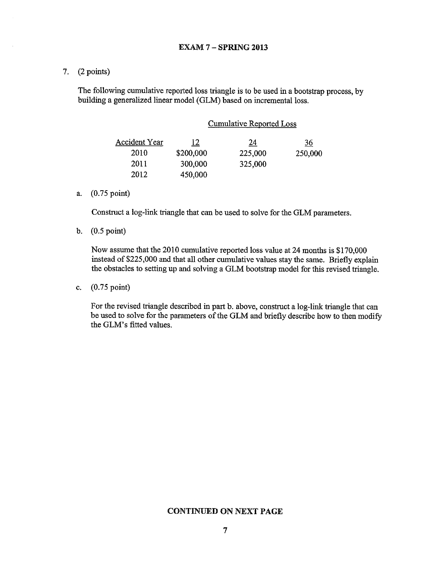7.  $(2 points)$ 

The following cumulative reported loss triangle is to be used in a bootstrap process, by building a generalized linear model (GLM) based on incremental loss.

| Cumulative Reported Loss |  |
|--------------------------|--|
|                          |  |
|                          |  |

| <b>Accident Year</b> | <u> 12</u> | 24      | $\frac{36}{5}$ |
|----------------------|------------|---------|----------------|
| 2010                 | \$200,000  | 225,000 | 250,000        |
| 2011                 | 300,000    | 325,000 |                |
| 2012                 | 450,000    |         |                |

a. (0.75 point)

Construct a log-link triangle that can be used to solve for the GLM parameters.

b.  $(0.5 \text{ point})$ 

Now assume that the 2010 cumulative reported loss value at 24 months is \$170,000 instead of \$225,000 and that all other cumulative values stay the same. Briefly explain the obstacles to setting up and solving a GLM bootstrap model for this revised triangle.

c.  $(0.75 \text{ point})$ 

For the revised triangle described in part b. above, construct a log-link triangle that can be used to solve for the parameters of the GLM and briefly describe how to then modify the GLM's fitted values.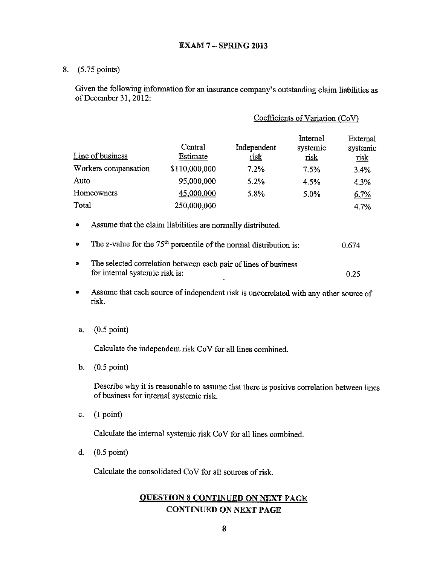8. (5.75 points)

Given the following information for an insurance company's outstanding claim liabilities as of December 31, 2012:

#### Coefficients of Variation (CoV)

| Line of business     | Central<br>Estimate | Independent<br><u>risk</u> | Internal<br>systemic<br><u>risk</u> | External<br>systemic<br><b>nsk</b> |
|----------------------|---------------------|----------------------------|-------------------------------------|------------------------------------|
| Workers compensation | \$110,000,000       | 7.2%                       | 7.5%                                | 3.4%                               |
| Auto                 | 95,000,000          | 5.2%                       | 4.5%                                | 4.3%                               |
| Homeowners           | 45,000,000          | 5.8%                       | 5.0%                                | 6.7%                               |
| Total                | 250,000,000         |                            |                                     | 4.7%                               |

- $\bullet$ Assume that the claim liabilities are normally distributed.
- The z-value for the  $75<sup>th</sup>$  percentile of the normal distribution is: ¢ 0.674
- The selected correlation between each pair of lines of business ø for internal systemic risk is:  $0.25$
- Assume that each source of independent risk is uncorrelated with any other source of  $\bullet$ risk.
- $(0.5 \text{ point})$ a.

Calculate the independent risk CoV for all lines combined.

b.  $(0.5 \text{ point})$ 

> Describe why it is reasonable to assume that there is positive correlation between lines of business for internal systemic risk.

 $(1 point)$ c.

Calculate the internal systemic risk CoV for all lines combined.

 $(0.5 \text{ point})$ d.

Calculate the consolidated CoV for all sources of risk.

# **OUESTION 8 CONTINUED ON NEXT PAGE CONTINUED ON NEXT PAGE**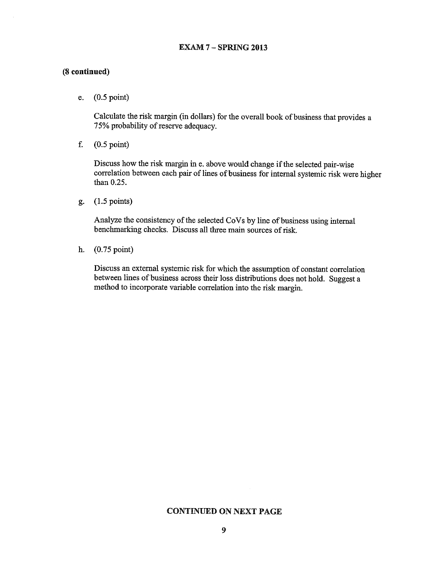## **EXAM 7 - SPRING 2013**

### (8 continued)

 $(0.5 \text{ point})$ e.

> Calculate the risk margin (in dollars) for the overall book of business that provides a 75% probability of reserve adequacy.

f.  $(0.5 \text{ point})$ 

> Discuss how the risk margin in e. above would change if the selected pair-wise correlation between each pair of lines of business for internal systemic risk were higher than 0.25.

 $(1.5 \text{ points})$ ք.

> Analyze the consistency of the selected CoVs by line of business using internal benchmarking checks. Discuss all three main sources of risk.

 $(0.75 \text{ point})$ h.

> Discuss an external systemic risk for which the assumption of constant correlation between lines of business across their loss distributions does not hold. Suggest a method to incorporate variable correlation into the risk margin.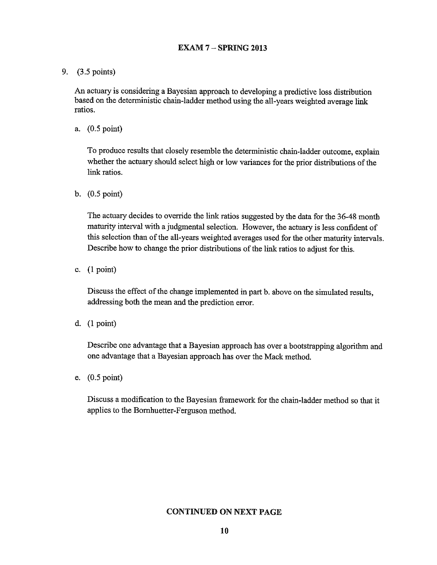## **EXAM 7 - SPRING 2013**

9. (3.5 points)

An actuary is considering a Bayesian approach to developing a predictive loss distribution based on the deterministic chain-ladder method using the all-years weighted average link ratios.

a.  $(0.5 \text{ point})$ 

To produce results that closely resemble the deterministic chain-ladder outcome, explain whether the actuary should select high or low variances for the prior distributions of the link ratios.

b.  $(0.5 \text{ point})$ 

The actuary decides to override the link ratios suggested by the data for the 36-48 month maturity interval with a judgmental selection. However, the actuary is less confident of this selection than of the all-years weighted averages used for the other maturity intervals. Describe how to change the prior distributions of the link ratios to adjust for this.

c.  $(1 point)$ 

Discuss the effect of the change implemented in part b. above on the simulated results, addressing both the mean and the prediction error.

d.  $(1 point)$ 

Describe one advantage that a Bayesian approach has over a bootstrapping algorithm and one advantage that a Bayesian approach has over the Mack method.

e.  $(0.5 \text{ point})$ 

Discuss a modification to the Bayesian framework for the chain-ladder method so that it applies to the Bornhuetter-Ferguson method.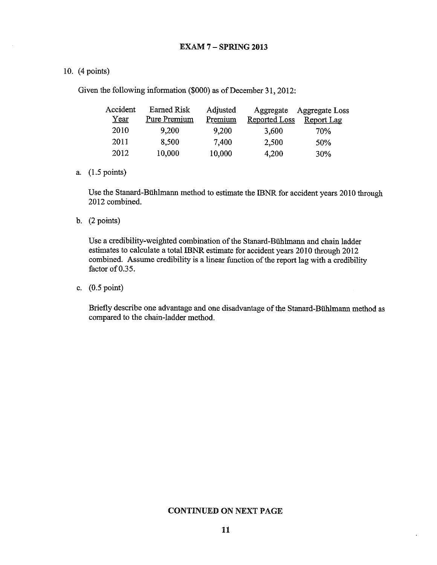## 10.  $(4 \text{ points})$

Given the following information (\$000) as of December 31, 2012:

| Accident | <b>Earned Risk</b> | Adjusted | Aggregate            | Aggregate Loss    |
|----------|--------------------|----------|----------------------|-------------------|
| Year     | Pure Premium       | Premium  | <b>Reported Loss</b> | <b>Report Lag</b> |
| 2010     | 9,200              | 9,200    | 3,600                | 70%               |
| 2011     | 8,500              | 7,400    | 2.500                | 50%               |
| 2012     | 10,000             | 10.000   | 4.200                | 30%               |

a.  $(1.5 \text{ points})$ 

Use the Stanard-Bühlmann method to estimate the IBNR for accident years 2010 through 2012 combined.

b.  $(2 points)$ 

Use a credibility-weighted combination of the Stanard-Bühlmann and chain ladder estimates to calculate a total IBNR estimate for accident years 2010 through 2012 combined. Assume credibility is a linear function of the report lag with a credibility factor of 0.35.

c.  $(0.5 \text{ point})$ 

Briefly describe one advantage and one disadvantage of the Stanard-Bühlmann method as compared to the chain-ladder method.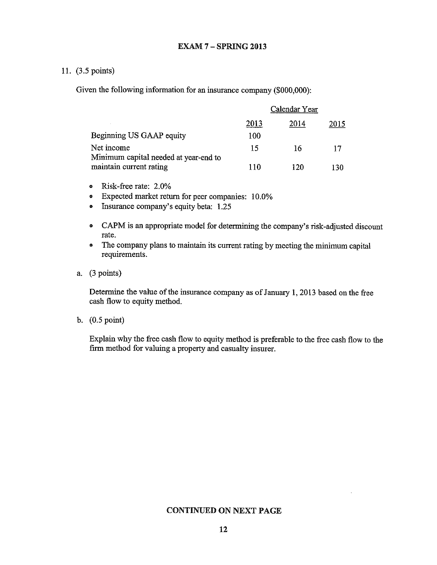## 11. (3.5 points)

Given the following information for an insurance company (\$000,000):

|                                                     |      | Calendar Year |      |
|-----------------------------------------------------|------|---------------|------|
|                                                     | 2013 | 2014          | 2015 |
| Beginning US GAAP equity                            | 100  |               |      |
| Net income<br>Minimum capital needed at year-end to | 15   | 16            | 17   |
| maintain current rating                             | 110  | 120           | 130  |

- Risk-free rate:  $2.0\%$
- Expected market return for peer companies: 10.0%
- Insurance company's equity beta: 1.25
- CAPM is an appropriate model for determining the company's risk-adjusted discount  $\bullet$ rate.
- The company plans to maintain its current rating by meeting the minimum capital requirements.

#### a.  $(3 points)$

Determine the value of the insurance company as of January 1, 2013 based on the free cash flow to equity method.

b.  $(0.5 \text{ point})$ 

Explain why the free cash flow to equity method is preferable to the free cash flow to the firm method for valuing a property and casualty insurer.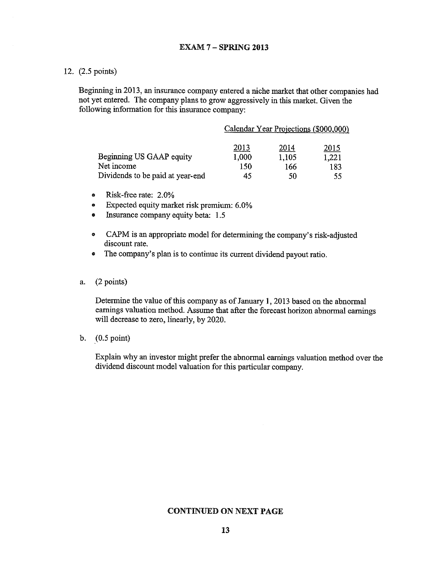12. (2.5 points)

Beginning in 2013, an insurance company entered a niche market that other companies had not yet entered. The company plans to grow aggressively in this market. Given the following information for this insurance company:

|                                  |       | Calendar Year Projections (\$000,000) |             |
|----------------------------------|-------|---------------------------------------|-------------|
|                                  | 2013  | 2014                                  | <u>2015</u> |
| Beginning US GAAP equity         | 1.000 | 1,105                                 | 1,221       |
| Net income                       | 150   | 166                                   | 183         |
| Dividends to be paid at year-end | 45    | 50                                    | 55          |

- Risk-free rate: 2.0%  $\bullet$
- Expected equity market risk premium: 6.0%  $\bullet$
- Insurance company equity beta: 1.5  $\bullet$
- CAPM is an appropriate model for determining the company's risk-adjusted  $\bullet$ discount rate.
- The company's plan is to continue its current dividend payout ratio.  $\bullet$
- $(2 \text{ points})$ a.

Determine the value of this company as of January 1, 2013 based on the abnormal earnings valuation method. Assume that after the forecast horizon abnormal earnings will decrease to zero, linearly, by 2020.

b.  $(0.5 \text{ point})$ 

Explain why an investor might prefer the abnormal earnings valuation method over the dividend discount model valuation for this particular company.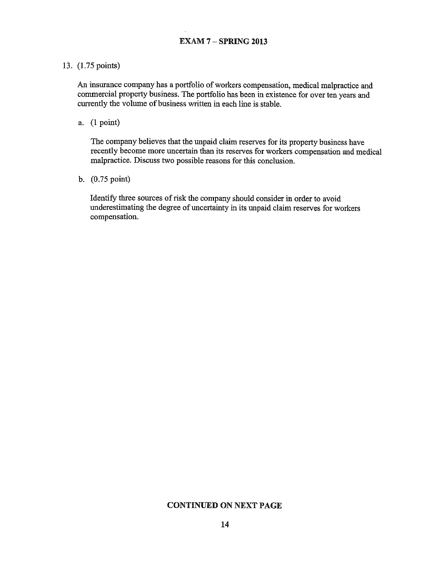#### 13. (1.75 points)

An insurance company has a portfolio of workers compensation, medical malpractice and commercial property business. The portfolio has been in existence for over ten years and currently the volume of business written in each line is stable.

a.  $(1 point)$ 

The company believes that the unpaid claim reserves for its property business have recently become more uncertain than its reserves for workers compensation and medical malpractice. Discuss two possible reasons for this conclusion.

b. (0.75 point)

Identify three sources of risk the company should consider in order to avoid underestimating the degree of uncertainty in its unpaid claim reserves for workers compensation.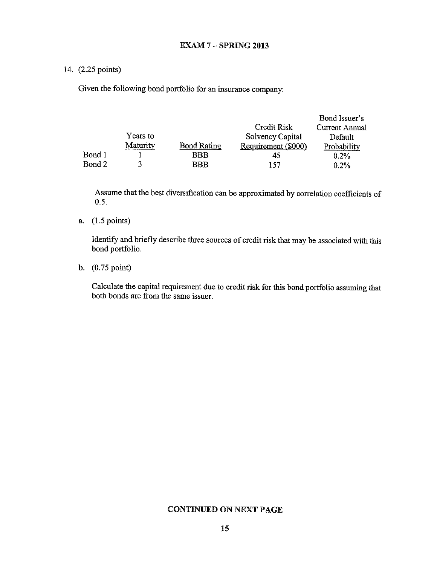## 14. (2.25 points)

Given the following bond portfolio for an insurance company:

|        |          |                    |                     | Bond Issuer's  |
|--------|----------|--------------------|---------------------|----------------|
|        |          |                    | Credit Risk         | Current Annual |
|        | Years to |                    | Solvency Capital    | Default        |
|        | Maturity | <b>Bond Rating</b> | Requirement (\$000) | Probability    |
| Bond 1 |          | <b>BBB</b>         | 45                  | 0.2%           |
| Bond 2 |          | BBB                | 157                 | 0.2%           |

Assume that the best diversification can be approximated by correlation coefficients of  $0.5.$ 

## a.  $(1.5 \text{ points})$

Identify and briefly describe three sources of credit risk that may be associated with this bond portfolio.

b.  $(0.75 \text{ point})$ 

Calculate the capital requirement due to credit risk for this bond portfolio assuming that both bonds are from the same issuer.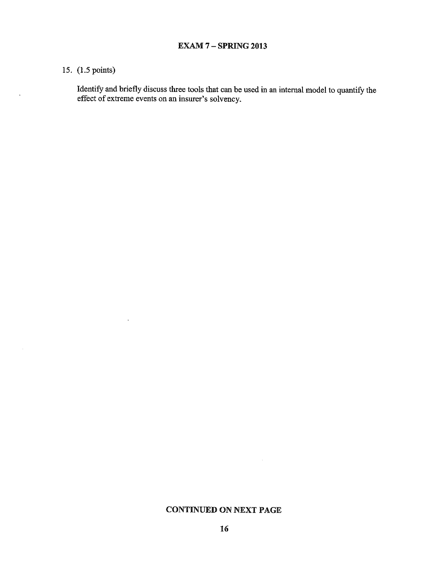# 15. (1.5 points)

 $\bar{\mathbf{a}}$ 

 $\ddot{\phantom{a}}$ 

 $\sim$ 

Identify and briefly discuss three tools that can be used in an internal model to quantify the effect of extreme events on an insurer's solvency.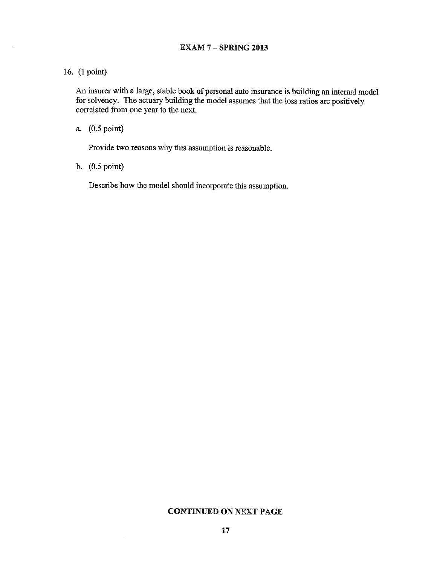#### **EXAM 7 - SPRING 2013**

# 16. (1 point)

An insurer with a large, stable book of personal auto insurance is building an internal model for solvency. The actuary building the model assumes that the loss ratios are positively correlated from one year to the next.

a. (0.5 point)

Provide two reasons why this assumption is reasonable.

b.  $(0.5 \text{ point})$ 

Describe how the model should incorporate this assumption.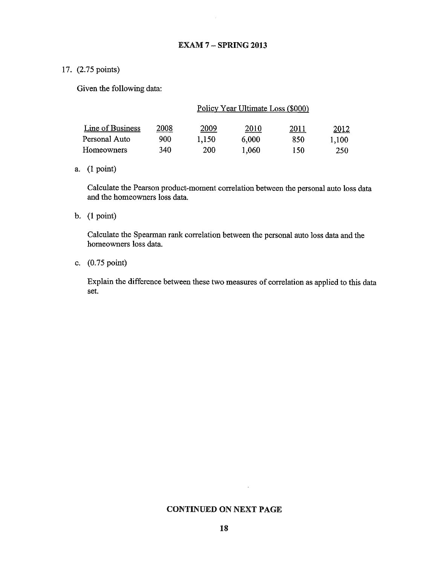## 17. (2.75 points)

Given the following data:

|                  | Policy Year Ultimate Loss (\$000) |       |       |      |       |  |  |  |
|------------------|-----------------------------------|-------|-------|------|-------|--|--|--|
| Line of Business | 2008                              | 2009  | 2010  | 2011 | 2012  |  |  |  |
| Personal Auto    | 900                               | 1.150 | 6,000 | 850  | 1.100 |  |  |  |
| Homeowners       | 340                               | 200   | 1.060 | 150  | 250   |  |  |  |

## a.  $(1 point)$

Calculate the Pearson product-moment correlation between the personal auto loss data and the homeowners loss data.

#### b.  $(1 point)$

Calculate the Spearman rank correlation between the personal auto loss data and the homeowners loss data.

## c. (0.75 point)

Explain the difference between these two measures of correlation as applied to this data set.

#### **CONTINUED ON NEXT PAGE**

 $\epsilon$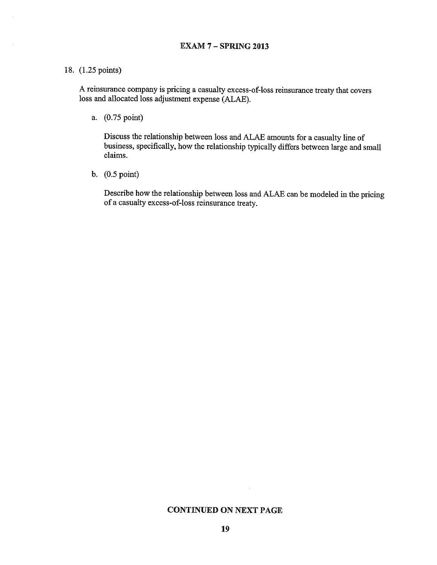#### 18. (1.25 points)

A reinsurance company is pricing a casualty excess-of-loss reinsurance treaty that covers loss and allocated loss adjustment expense (ALAE).

a. (0.75 point)

Discuss the relationship between loss and ALAE amounts for a casualty line of business, specifically, how the relationship typically differs between large and small claims.

b.  $(0.5 \text{ point})$ 

Describe how the relationship between loss and ALAE can be modeled in the pricing of a casualty excess-of-loss reinsurance treaty.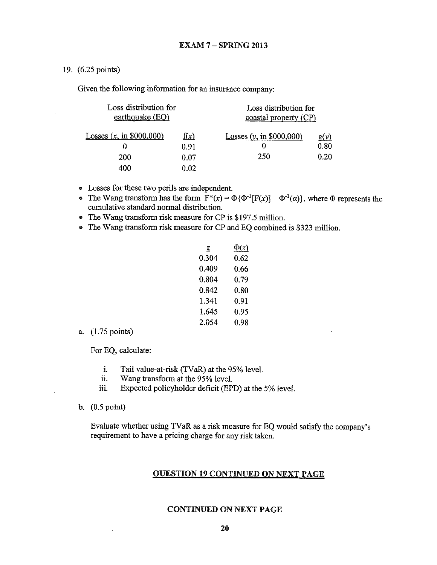19. (6.25 points)

Given the following information for an insurance company:

| Loss distribution for<br>earthquake $(EQ)$ |              | Loss distribution for<br>coastal property (CP) |                     |  |  |
|--------------------------------------------|--------------|------------------------------------------------|---------------------|--|--|
| Losses $(x, \text{ in } $000,000)$<br>0    | f(x)<br>0.91 | Losses $(y, \text{in } $000,000)$<br>0         | <u>g(y)</u><br>0.80 |  |  |
| 200                                        | 0.07         | 250                                            | 0.20                |  |  |
| 400                                        | 0.02         |                                                |                     |  |  |

- Losses for these two perils are independent.
- The Wang transform has the form  $F^*(x) = \Phi \{\Phi^{-1}[F(x)] \Phi^{-1}(\alpha)\}\$ , where  $\Phi$  represents the cumulative standard normal distribution.
- The Wang transform risk measure for CP is \$197.5 million.
- The Wang transform risk measure for CP and EQ combined is \$323 million.

| z     | $\Phi(z)$ |
|-------|-----------|
| 0.304 | 0.62      |
| 0.409 | በ 66      |
| 0.804 | 0.79      |
| 0.842 | 0.80      |
| 1.341 | 0.91      |
| 1.645 | 0.95      |
| 2.054 | 0.98      |
|       |           |

a. (1.75 points)

For EQ, calculate:

- $\mathbf{i}$ . Tail value-at-risk (TVaR) at the 95% level.
- Wang transform at the 95% level. ii.
- Expected policyholder deficit (EPD) at the 5% level. iii.
- b.  $(0.5 \text{ point})$

Evaluate whether using TVaR as a risk measure for EQ would satisfy the company's requirement to have a pricing charge for any risk taken.

#### **OUESTION 19 CONTINUED ON NEXT PAGE**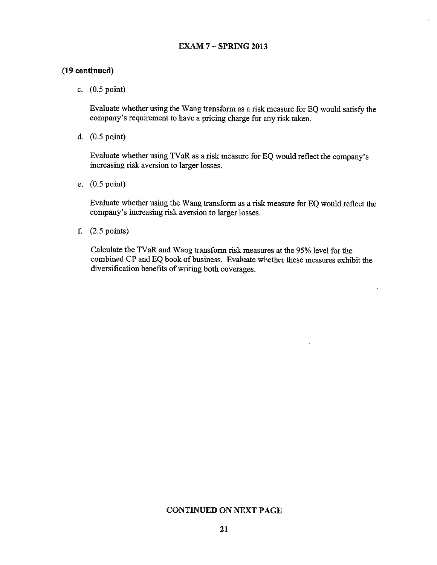#### **EXAM 7 - SPRING 2013**

## (19 continued)

c.  $(0.5 \text{ point})$ 

Evaluate whether using the Wang transform as a risk measure for EQ would satisfy the company's requirement to have a pricing charge for any risk taken.

d.  $(0.5 \text{ point})$ 

Evaluate whether using TVaR as a risk measure for EQ would reflect the company's increasing risk aversion to larger losses.

e.  $(0.5 \text{ point})$ 

Evaluate whether using the Wang transform as a risk measure for EQ would reflect the company's increasing risk aversion to larger losses.

f.  $(2.5 \text{ points})$ 

Calculate the TVaR and Wang transform risk measures at the 95% level for the combined CP and EQ book of business. Evaluate whether these measures exhibit the diversification benefits of writing both coverages.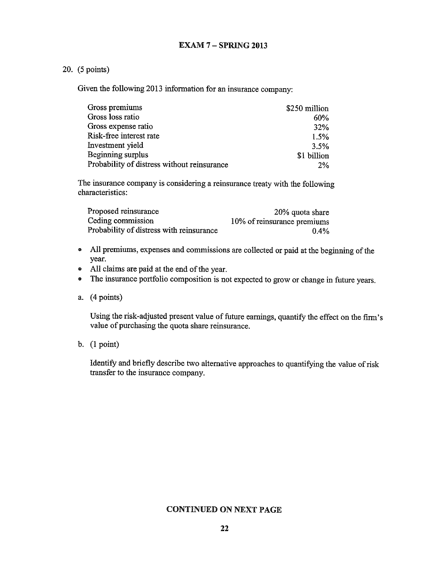## 20. (5 points)

Given the following 2013 information for an insurance company:

| Gross premiums                              | \$250 million |
|---------------------------------------------|---------------|
| Gross loss ratio                            | 60%           |
| Gross expense ratio                         | <b>32%</b>    |
| Risk-free interest rate                     | 1.5%          |
| Investment yield                            | $3.5\%$       |
| Beginning surplus                           | \$1 billion   |
| Probability of distress without reinsurance | 2%            |

The insurance company is considering a reinsurance treaty with the following characteristics:

| Proposed reinsurance                     | 20% quota share             |
|------------------------------------------|-----------------------------|
| Ceding commission                        | 10% of reinsurance premiums |
| Probability of distress with reinsurance | $0.4\%$                     |

- All premiums, expenses and commissions are collected or paid at the beginning of the year.
- All claims are paid at the end of the year.
- The insurance portfolio composition is not expected to grow or change in future years.
- a.  $(4 points)$

Using the risk-adjusted present value of future earnings, quantify the effect on the firm's value of purchasing the quota share reinsurance.

b.  $(1 point)$ 

Identify and briefly describe two alternative approaches to quantifying the value of risk transfer to the insurance company.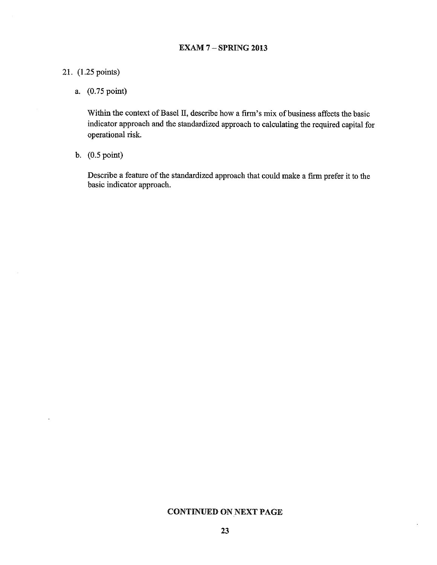# 21. (1.25 points)

a. (0.75 point)

Within the context of Basel II, describe how a firm's mix of business affects the basic indicator approach and the standardized approach to calculating the required capital for operational risk.

b.  $(0.5 \text{ point})$ 

Describe a feature of the standardized approach that could make a firm prefer it to the basic indicator approach.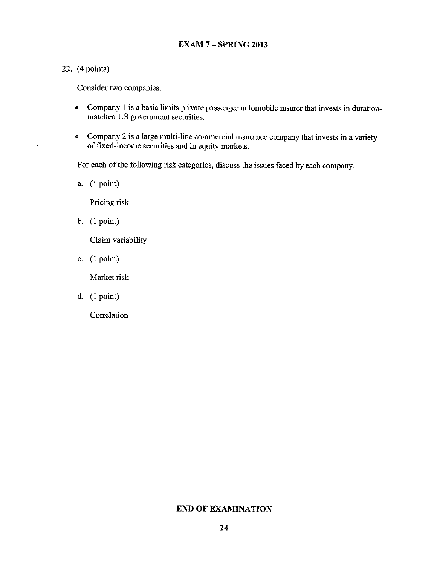# 22. (4 points)

Consider two companies:

- Company 1 is a basic limits private passenger automobile insurer that invests in duration- $\bullet$ matched US government securities.
- Company 2 is a large multi-line commercial insurance company that invests in a variety of fixed-income securities and in equity markets.

For each of the following risk categories, discuss the issues faced by each company.

a.  $(1 point)$ 

Pricing risk

b.  $(1 point)$ 

Claim variability

c.  $(1 point)$ 

Market risk

d.  $(1 point)$ 

 $\epsilon$ 

Correlation

# **END OF EXAMINATION**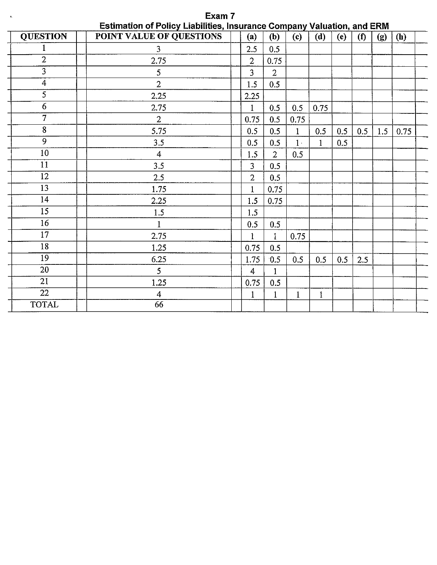| $\Lambda_{\rm c}$ | <b>Exam</b> 7                                                                 |                |                |              |          |     |     |     |      |  |
|-------------------|-------------------------------------------------------------------------------|----------------|----------------|--------------|----------|-----|-----|-----|------|--|
|                   | <b>Estimation of Policy Liabilities, Insurance Company Valuation, and ERM</b> |                |                |              |          |     |     |     |      |  |
| <b>QUESTION</b>   | POINT VALUE OF QUESTIONS                                                      | (a)            | (b)            | (c)          | (d)      | (e) | (f) | (g) | (h)  |  |
| 1                 | $\overline{3}$                                                                | 2.5            | 0.5            |              |          |     |     |     |      |  |
| $\overline{2}$    | 2.75                                                                          | $\overline{2}$ | 0.75           |              |          |     |     |     |      |  |
| 3                 | 5                                                                             | 3              | $\overline{2}$ |              |          |     |     |     |      |  |
| 4                 | $\overline{2}$                                                                | 1.5            | 0.5            |              |          |     |     |     |      |  |
| 5                 | 2.25                                                                          | 2.25           |                |              |          |     |     |     |      |  |
| $\overline{6}$    | 2.75                                                                          | 1              | 0.5            | 0.5          | 0.75     |     |     |     |      |  |
| $\overline{7}$    | $\overline{2}$                                                                | 0.75           | 0.5            | 0.75         |          |     |     |     |      |  |
| 8                 | 5.75                                                                          | 0.5            | 0.5            | $\mathbf{1}$ | 0.5      | 0.5 | 0.5 | 1.5 | 0.75 |  |
| 9                 | 3.5                                                                           | 0.5            | 0.5            | $1 -$        | $\bf{1}$ | 0.5 |     |     |      |  |
| $10\,$            | $\overline{4}$                                                                | 1.5            | $\overline{2}$ | 0.5          |          |     |     |     |      |  |
| 11                | 3.5                                                                           | 3              | 0.5            |              |          |     |     |     |      |  |
| 12                | 2.5                                                                           | 2              | 0.5            |              |          |     |     |     |      |  |
| 13                | 1.75                                                                          | $\mathbf{1}$   | 0.75           |              |          |     |     |     |      |  |
| 14                | 2.25                                                                          | 1.5            | 0.75           |              |          |     |     |     |      |  |
| 15                | 1.5                                                                           | 1.5            |                |              |          |     |     |     |      |  |
| 16                | $\mathbf{1}$                                                                  | 0.5            | 0.5            |              |          |     |     |     |      |  |
| 17                | 2.75                                                                          | 1              | 1              | 0.75         |          |     |     |     |      |  |
| 18                | 1.25                                                                          | 0.75           | 0.5            |              |          |     |     |     |      |  |
| $\overline{19}$   | 6.25                                                                          | 1.75           | 0.5            | 0.5          | 0.5      | 0.5 | 2.5 |     |      |  |
| 20                | 5                                                                             | 4              |                |              |          |     |     |     |      |  |
| 21                | 1.25                                                                          | 0.75           | 0.5            |              |          |     |     |     |      |  |
| 22                | 4                                                                             | 1              |                | 1            | 1        |     |     |     |      |  |
| <b>TOTAL</b>      | 66                                                                            |                |                |              |          |     |     |     |      |  |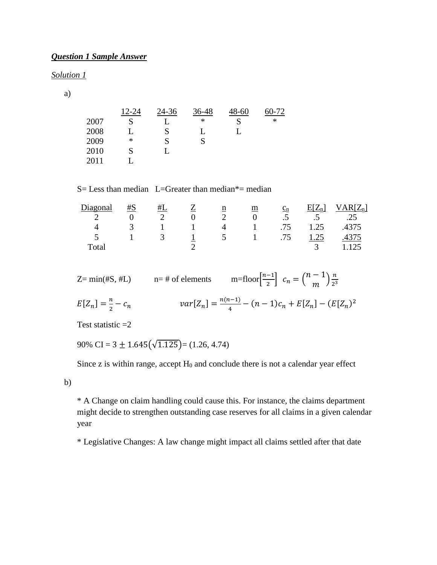# *Question 1 Sample Answer*

#### *Solution 1*

a)

|      | 12-24 | 24-36 | 36-48 | $-8 - 60$ | 60-72 |
|------|-------|-------|-------|-----------|-------|
| 2007 | S     |       | ∗     |           | ∗     |
| 2008 |       | S     |       |           |       |
| 2009 | ∗     | S     |       |           |       |
| 2010 | S     |       |       |           |       |
| 2011 |       |       |       |           |       |

 $S=$  Less than median L=Greater than median\*= median

| Diagonal             | #S            | #L             |          | $\underline{\mathbf{n}}$ | m                                      | $\underline{c}_n$ | $E[Z_n]$         | $'AR[Z_n]$ |
|----------------------|---------------|----------------|----------|--------------------------|----------------------------------------|-------------------|------------------|------------|
|                      |               |                | $\theta$ |                          |                                        | $.5\,$            | $.5\overline{)}$ | .25        |
|                      | $\mathcal{R}$ |                |          | 4                        | $\sim$ 1                               | .75               | 1.25             | .4375      |
| $\ddot{\phantom{1}}$ |               | $\overline{3}$ |          | $5\overline{)}$          | $\begin{array}{ccc} & 1 & \end{array}$ | .75               | 1.25             |            |
| Total                |               |                |          |                          |                                        |                   |                  | 125        |

Z= min(#S, #L)  $n=$  # of elements  $m=$  floor $\left[\frac{n-1}{2}\right]$   $c_n = \left(\frac{n-1}{m}\right) \frac{n}{2^3}$ 

$$
E[Z_n] = \frac{n}{2} - c_n \qquad var[Z_n] = \frac{n(n-1)}{4} - (n-1)c_n + E[Z_n] - (E[Z_n)^2]
$$

Test statistic  $=2$ 

90% CI =  $3 \pm 1.645(\sqrt{1.125})$  = (1.26, 4.74)

Since  $z$  is within range, accept  $H_0$  and conclude there is not a calendar year effect

b)

\* A Change on claim handling could cause this. For instance, the claims department might decide to strengthen outstanding case reserves for all claims in a given calendar year

\* Legislative Changes: A law change might impact all claims settled after that date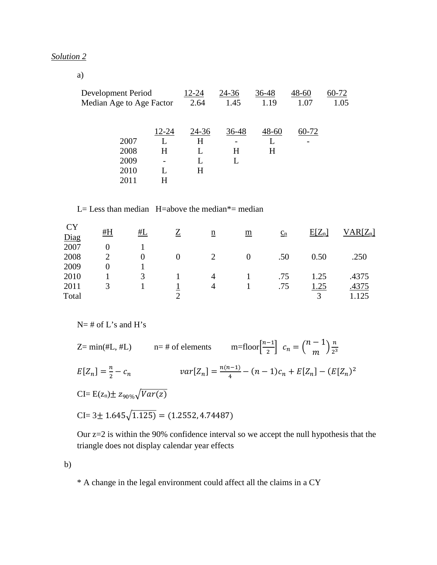## *Solution 2*

a)

| Development Period                   |                 | 12-24           | 24-36                        | 36-48          | $48 - 60$ | 60-72 |
|--------------------------------------|-----------------|-----------------|------------------------------|----------------|-----------|-------|
| Median Age to Age Factor             |                 | 2.64            | 1.45                         | 1.19           | 1.07      | 1.05  |
| 2007<br>2008<br>2009<br>2010<br>2011 | 12-24<br>H<br>н | 24-36<br>H<br>H | 36-48<br>$\overline{a}$<br>H | $48 - 60$<br>H | 60-72     |       |

## L= Less than median  $H=$ above the median $*$ = median

| <b>CY</b><br>Diag | #H            | #L            |          | $\underline{n}$ | $\underline{\underline{m}}$ | $c_n$ | $E[Z_n]$ | $VAR[Z_n]$ |
|-------------------|---------------|---------------|----------|-----------------|-----------------------------|-------|----------|------------|
| 2007              |               |               |          |                 |                             |       |          |            |
| 2008              | $\mathcal{D}$ | $\Omega$      | $\Omega$ |                 | $\theta$                    | .50   | 0.50     | .250       |
| 2009              |               |               |          |                 |                             |       |          |            |
| 2010              |               | $\mathcal{R}$ |          | 4               |                             | .75   | 1.25     | .4375      |
| 2011              | 3             |               |          | 4               |                             | .75   | 1.25     | .4375      |
| Total             |               |               |          |                 |                             |       |          | 125        |

 $N=$  # of L's and H's

Z= min(#L, #L)  $n=$  # of elements  $m=$  floor $\left[\frac{n-1}{2}\right]$   $c_n = \left(\frac{n-1}{m}\right) \frac{n}{2^3}$  $E[Z_n] = \frac{n}{2} - c_n$  $\frac{n}{2} - c_n$   $var[Z_n] = \frac{n(n-1)}{4} - (n-1)c_n + E[Z_n] - (E[Z_n)^2]$  $CI= E(z_n) \pm z_{90\%} \sqrt{Var(z)}$  $CI = 3 \pm 1.645 \sqrt{1.125} = (1.2552, 4.74487)$ 

Our z=2 is within the 90% confidence interval so we accept the null hypothesis that the triangle does not display calendar year effects

b)

\* A change in the legal environment could affect all the claims in a CY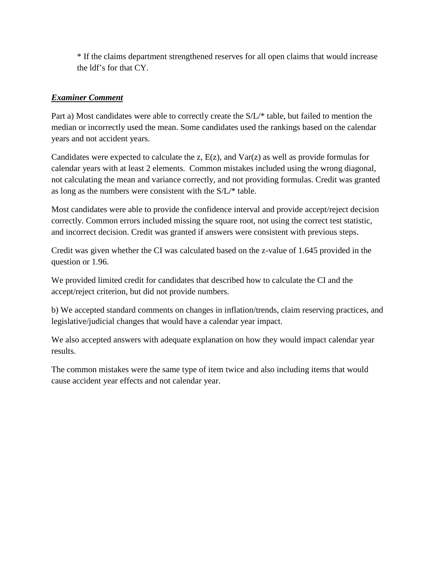\* If the claims department strengthened reserves for all open claims that would increase the ldf's for that CY.

# *Examiner Comment*

Part a) Most candidates were able to correctly create the S/L/\* table, but failed to mention the median or incorrectly used the mean. Some candidates used the rankings based on the calendar years and not accident years.

Candidates were expected to calculate the z,  $E(z)$ , and  $Var(z)$  as well as provide formulas for calendar years with at least 2 elements. Common mistakes included using the wrong diagonal, not calculating the mean and variance correctly, and not providing formulas. Credit was granted as long as the numbers were consistent with the S/L/\* table.

Most candidates were able to provide the confidence interval and provide accept/reject decision correctly. Common errors included missing the square root, not using the correct test statistic, and incorrect decision. Credit was granted if answers were consistent with previous steps.

Credit was given whether the CI was calculated based on the z-value of 1.645 provided in the question or 1.96.

We provided limited credit for candidates that described how to calculate the CI and the accept/reject criterion, but did not provide numbers.

b) We accepted standard comments on changes in inflation/trends, claim reserving practices, and legislative/judicial changes that would have a calendar year impact.

We also accepted answers with adequate explanation on how they would impact calendar year results.

The common mistakes were the same type of item twice and also including items that would cause accident year effects and not calendar year.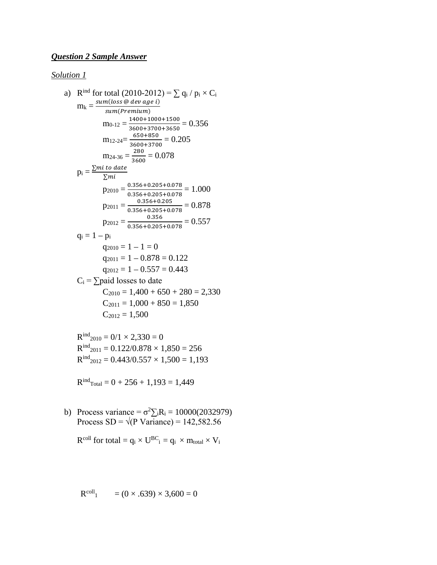# *Question 2 Sample Answer*

## *Solution 1*

a) R<sup>ind</sup> for total (2010-2012) = 
$$
\sum q_i / p_i \times C_i
$$
  
\n
$$
m_k = \frac{sum_loss \text{ @ } dev \text{ age } i)}{sum(Premium)}
$$
\n
$$
m_{0-12} = \frac{1400+1000+1500}{3600+3700+3650} = 0.356
$$
\n
$$
m_{12-24} = \frac{650+850}{3600+3700} = 0.205
$$
\n
$$
m_{24-36} = \frac{280}{3600} = 0.078
$$
\n
$$
p_i = \frac{\sum mi \text{ to date}}{\sum mi}
$$
\n
$$
p_{2010} = \frac{0.356+0.205+0.078}{0.356+0.205+0.078} = 1.000
$$
\n
$$
p_{2011} = \frac{0.356}{0.356+0.205+0.078} = 0.878
$$
\n
$$
p_{2012} = \frac{0.356}{0.356+0.205+0.078} = 0.557
$$
\n
$$
q_i = 1 - p_i
$$
\n
$$
q_{2010} = 1 - 1 = 0
$$
\n
$$
q_{2011} = 1 - 0.878 = 0.122
$$
\n
$$
q_{2012} = 1 - 0.557 = 0.443
$$
\n
$$
C_i = \sum \text{paid losses to date}
$$
\n
$$
C_{2010} = 1,400 + 650 + 280 = 2,330
$$
\n
$$
C_{2011} = 1,000 + 850 = 1,850
$$
\n
$$
C_{2012} = 1,500
$$

 $R^{ind}_{2010} = 0/1 \times 2,330 = 0$  $R^{ind}_{2011} = 0.122/0.878 \times 1,850 = 256$  $R^{ind}_{2012} = 0.443/0.557 \times 1,500 = 1,193$ 

 $R^{ind}$ <sub>Total</sub> = 0 + 256 + 1,193 = 1,449

b) Process variance =  $\sigma^2 \Sigma_i R_i = 10000(2032979)$ Process  $SD = \sqrt{(P \text{ Variance})} = 142,582.56$ 

 $R^{coll}$  for total =  $q_i \times U^{BC}$ <sub>i</sub> =  $q_i \times m_{total} \times V_i$ 

$$
R^{coll_1} = (0 \times .639) \times 3,600 = 0
$$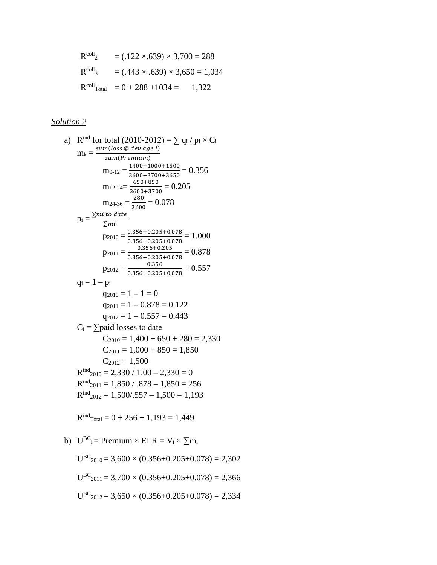$$
Rcoll2 = (.122 \times .639) \times 3,700 = 288
$$
  
\n
$$
Rcoll3 = (.443 \times .639) \times 3,650 = 1,034
$$
  
\n
$$
RcollTotal = 0 + 288 + 1034 = 1,322
$$

# *Solution 2*

a) R<sup>ind</sup> for total (2010-2012) = 
$$
\sum q_i / p_i \times C_i
$$
  
\n
$$
m_k = \frac{\text{sum}(loss \text{ @ } \text{dev age } i)}{\text{sum}(Premium)}
$$
\n
$$
m_{0-12} = \frac{1400+1000+1500}{3600+3700+3650} = 0.356
$$
\n
$$
m_{12-24} = \frac{650+850}{3600+3700} = 0.205
$$
\n
$$
m_{24-36} = \frac{280}{3600} = 0.078
$$
\n
$$
p_i = \frac{\sum m i \text{ to date}}{\sum m i}
$$
\n
$$
p_{2010} = \frac{0.356+0.205+0.078}{0.356+0.205+0.078} = 1.000
$$
\n
$$
p_{2011} = \frac{0.356+0.205}{0.356+0.205+0.078} = 0.878
$$
\n
$$
p_{2012} = \frac{0.356}{0.356+0.205+0.078} = 0.557
$$
\n
$$
q_i = 1 - p_i
$$
\n
$$
q_{2010} = 1 - 1 = 0
$$
\n
$$
q_{2011} = 1 - 0.878 = 0.122
$$
\n
$$
q_{2012} = 1 - 0.557 = 0.443
$$
\n
$$
C_i = \sum \text{paid losses to date}
$$
\n
$$
C_{2010} = 1,400 + 650 + 280 = 2,330
$$
\n
$$
C_{2011} = 1,000 + 850 = 1,850
$$
\n
$$
C_{2012} = 1,500
$$
\n
$$
R^{ind}_{2011} = 1,850 / .878 - 1,850 = 256
$$
\n
$$
R^{ind}_{2012} = 1,500/.557 - 1,500 = 1,193
$$
\n
$$
R^{ind}_{Total
$$

b)  $U^{BC}$ <sub>i</sub> = Premium × ELR =  $V_i \times \sum m_i$  $U^{BC}_{2010} = 3,600 \times (0.356 + 0.205 + 0.078) = 2,302$  $U^{BC}_{2011} = 3,700 \times (0.356 + 0.205 + 0.078) = 2,366$  $U^{BC}_{2012} = 3,650 \times (0.356 + 0.205 + 0.078) = 2,334$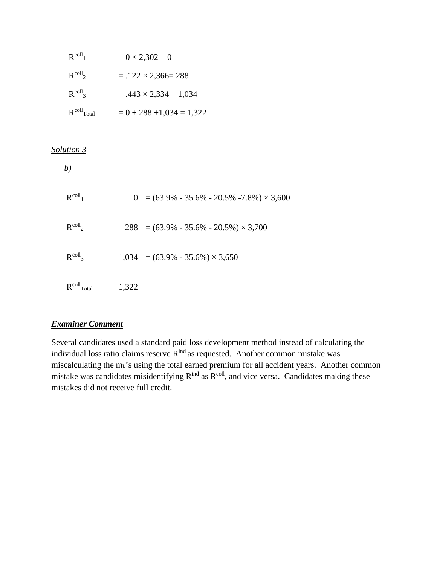| $R^{coll}$       | $= 0 \times 2,302 = 0$        |
|------------------|-------------------------------|
| $R^{coll_2}$     | $= .122 \times 2,366 = 288$   |
| $R^{coll_3}$     | $= .443 \times 2,334 = 1,034$ |
| $R^{coll}$ Total | $= 0 + 288 + 1,034 = 1,322$   |

## *Solution 3*

| $R^{coll}$       |       | $0 = (63.9\% - 35.6\% - 20.5\% - 7.8\%) \times 3,600$ |
|------------------|-------|-------------------------------------------------------|
| $R^{coll}$       |       | $288 = (63.9\% - 35.6\% - 20.5\%) \times 3,700$       |
| $R^{coll_3}$     |       | $1,034 = (63.9\% - 35.6\%) \times 3,650$              |
| $R^{coll}$ Total | 1,322 |                                                       |

# *Examiner Comment*

Several candidates used a standard paid loss development method instead of calculating the individual loss ratio claims reserve Rind as requested. Another common mistake was miscalculating the  $m_k$ 's using the total earned premium for all accident years. Another common mistake was candidates misidentifying  $R^{ind}$  as  $R^{coll}$ , and vice versa. Candidates making these mistakes did not receive full credit.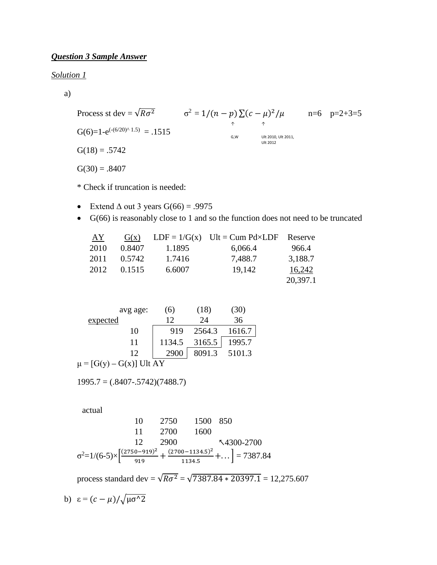# *Question 3 Sample Answer*

*Solution 1*

a)

Process st dev = 
$$
\sqrt{R\sigma^2}
$$
  $\sigma^2 = 1/(n - p) \sum (c - \mu)^2 / \mu$  n=6 p=2+3=5  
\nG(6)=1-e<sup>(-(6/20)^{A}1.5)</sup> = .1515  
\nG(18) = .5742  
\nG(30) = .8407

\* Check if truncation is needed:

- Extend  $\triangle$  out 3 years  $G(66) = .9975$
- G(66) is reasonably close to 1 and so the function does not need to be truncated

| AY   | G(x)   |        | $LDF = 1/G(x)$ Ult = Cum Pd×LDF Reserve |          |
|------|--------|--------|-----------------------------------------|----------|
| 2010 | 0.8407 | 1.1895 | 6,066.4                                 | 966.4    |
| 2011 | 0.5742 | 1.7416 | 7,488.7                                 | 3,188.7  |
| 2012 | 0.1515 | 6.6007 | 19.142                                  | 16,242   |
|      |        |        |                                         | 20,397.1 |

| avg age:                     | (6)    | (18)   | (30)   |
|------------------------------|--------|--------|--------|
| expected                     | 12     | 24     | 36     |
| 10                           | 919    | 2564.3 | 1616.7 |
| 11                           | 1134.5 | 3165.5 | 1995.7 |
| 12                           | 2900   | 8091.3 | 5101.3 |
| $\mu = [G(y) - G(x)]$ Ult AY |        |        |        |

 $1995.7 = (.8407-.5742)(7488.7)$ 

actual

$$
10 \t 2750 \t 1500 \t 850
$$
  
\n
$$
11 \t 2700 \t 1600
$$
  
\n
$$
12 \t 2900 \t \sqrt{4300-2700}
$$
  
\n
$$
\sigma^{2}=1/(6-5)\times \left[\frac{(2750-919)^{2}}{919} + \frac{(2700-1134.5)^{2}}{1134.5} + \dots\right] = 7387.84
$$

process standard dev =  $\sqrt{R\sigma^2}$  =  $\sqrt{7387.84 * 20397.1}$  = 12,275.607

b) 
$$
\varepsilon = (c - \mu) / \sqrt{\mu \sigma^2}
$$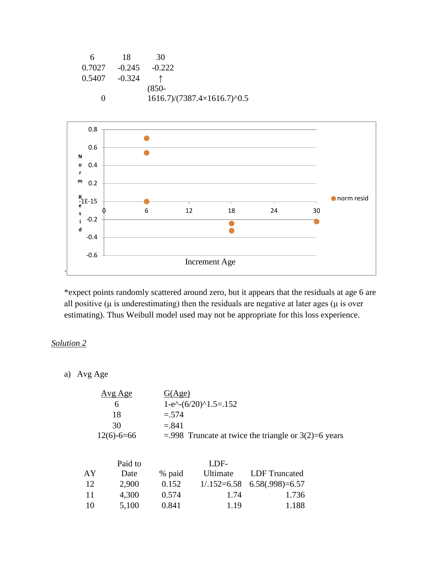| 6                 | 18              | 30                                               |
|-------------------|-----------------|--------------------------------------------------|
| 0.7027            | $-0.245$        | $-0.222$                                         |
|                   | $0.5407 -0.324$ |                                                  |
|                   |                 | $(850 -$                                         |
| $\mathbf{\Omega}$ |                 | $1616.7$ / $(7387.4\times1616.7)$ <sup>0.5</sup> |



\*expect points randomly scattered around zero, but it appears that the residuals at age 6 are all positive ( $\mu$  is underestimating) then the residuals are negative at later ages ( $\mu$  is over estimating). Thus Weibull model used may not be appropriate for this loss experience.

# *Solution 2*

a) Avg Age

| G(Age)                                                   |
|----------------------------------------------------------|
| $1-e^{\lambda}-(6/20)^{1.5} = .152$                      |
| $=.574$                                                  |
| $= 841$                                                  |
| $= 0.998$ Truncate at twice the triangle or 3(2)=6 years |
|                                                          |

|    | Paid to |        | LDE-     |                                 |
|----|---------|--------|----------|---------------------------------|
| AY | Date    | % paid | Ultimate | LDF Truncated                   |
| 12 | 2,900   | 0.152  |          | $1/.152=6.58$ $6.58(.998)=6.57$ |
| 11 | 4,300   | 0.574  | 1.74     | 1.736                           |
| 10 | 5,100   | 0.841  | 1.19     | 1.188                           |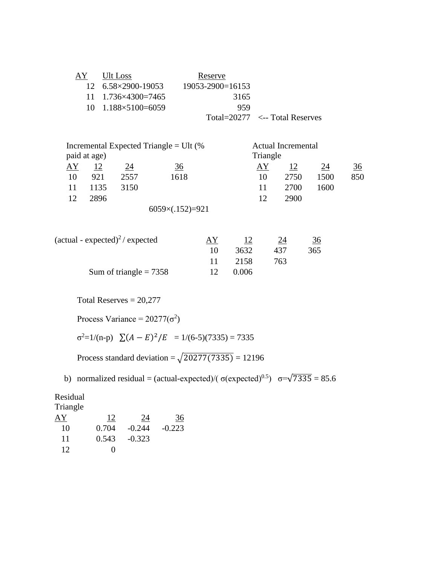| AY | Ult Loss                            | Reserve                |                                     |
|----|-------------------------------------|------------------------|-------------------------------------|
|    | 12 6.58×2900-19053                  | $19053 - 2900 = 16153$ |                                     |
|    | $11 \quad 1.736 \times 4300 = 7465$ | 3165                   |                                     |
|    | $10 \quad 1.188 \times 5100 = 6059$ | 959                    |                                     |
|    |                                     |                        | Total= $20277 \le$ --Total Reserves |

|           |              |      | Incremental Expected Triangle = Ult $%$ |          | <b>Actual Incremental</b> |      |     |
|-----------|--------------|------|-----------------------------------------|----------|---------------------------|------|-----|
|           | paid at age) |      |                                         | Triangle |                           |      |     |
| <u>AY</u> | 12           | 24   | $\frac{36}{5}$                          | AY       |                           | 24   | 36  |
| 10        | 921          | 2557 | 1618                                    | 10       | 2750                      | 1500 | 850 |
| 11        | 1135         | 3150 |                                         | 11       | 2700                      | 1600 |     |
| 12        | 2896         |      |                                         | 12       | 2900                      |      |     |
|           |              |      | $6059\times(.152)=921$                  |          |                           |      |     |

| $(\text{actual - expected})^2 /$ expected | ΑY |       | 24  | 36  |
|-------------------------------------------|----|-------|-----|-----|
|                                           |    | 3632  | 437 | 365 |
|                                           |    | 2158  | 763 |     |
| Sum of triangle = $7358$                  |    | 0.006 |     |     |

Total Reserves = 20,277

Process Variance =  $20277(\sigma^2)$ 

 $\sigma^2 = 1/(n-p)$   $\sum (A - E)^2 / E = 1/(6-5)(7335) = 7335$ 

Process standard deviation =  $\sqrt{20277(7335)}$  = 12196

b) normalized residual = (actual-expected)/( $\sigma$ (expected)<sup>0.5</sup>)  $\sigma = \sqrt{7335} = 85.6$ 

Residual Triangle AY 12 24 36 10 0.704 -0.244 -0.223

| * ∿  | <u>v. , v i </u> | <u>v.</u>      | v. |
|------|------------------|----------------|----|
| - 11 |                  | $0.543 -0.323$ |    |
| -12  | $\Omega$         |                |    |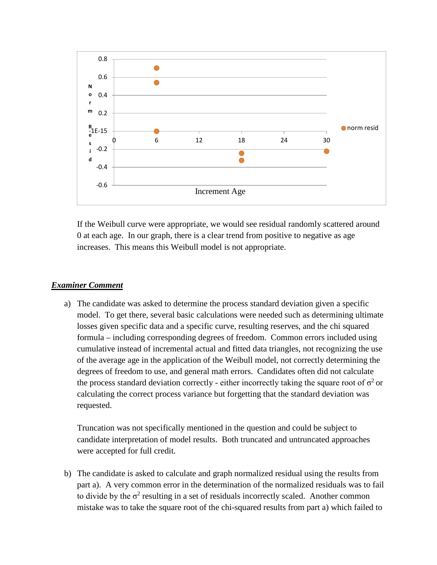

If the Weibull curve were appropriate, we would see residual randomly scattered around 0 at each age. In our graph, there is a clear trend from positive to negative as age increases. This means this Weibull model is not appropriate.

### *Examiner Comment*

a) The candidate was asked to determine the process standard deviation given a specific model. To get there, several basic calculations were needed such as determining ultimate losses given specific data and a specific curve, resulting reserves, and the chi squared formula – including corresponding degrees of freedom. Common errors included using cumulative instead of incremental actual and fitted data triangles, not recognizing the use of the average age in the application of the Weibull model, not correctly determining the degrees of freedom to use, and general math errors. Candidates often did not calculate the process standard deviation correctly - either incorrectly taking the square root of  $\sigma^2$  or calculating the correct process variance but forgetting that the standard deviation was requested.

Truncation was not specifically mentioned in the question and could be subject to candidate interpretation of model results. Both truncated and untruncated approaches were accepted for full credit.

b) The candidate is asked to calculate and graph normalized residual using the results from part a). A very common error in the determination of the normalized residuals was to fail to divide by the  $\sigma^2$  resulting in a set of residuals incorrectly scaled. Another common mistake was to take the square root of the chi-squared results from part a) which failed to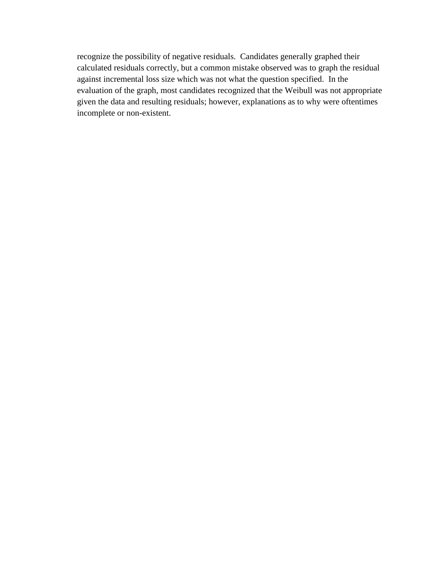recognize the possibility of negative residuals. Candidates generally graphed their calculated residuals correctly, but a common mistake observed was to graph the residual against incremental loss size which was not what the question specified. In the evaluation of the graph, most candidates recognized that the Weibull was not appropriate given the data and resulting residuals; however, explanations as to why were oftentimes incomplete or non-existent.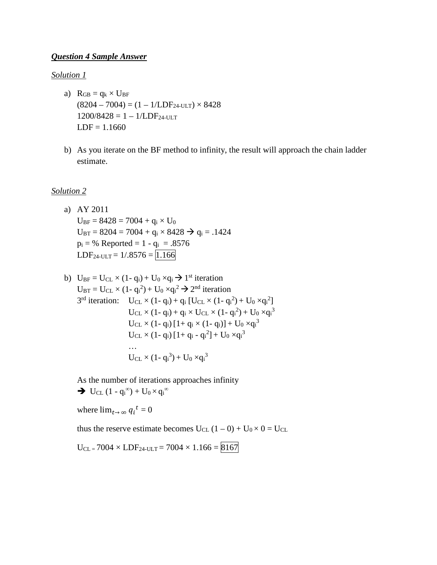#### *Question 4 Sample Answer*

#### *Solution 1*

- a)  $R_{GB} = q_k \times U_{BF}$  $(8204 - 7004) = (1 - 1/LDF_{24-ULT}) \times 8428$  $1200/8428 = 1 - 1/LDF_{24-ULT}$  $LDF = 1.1660$
- b) As you iterate on the BF method to infinity, the result will approach the chain ladder estimate.

#### *Solution 2*

- a) AY 2011  $U_{BF} = 8428 = 7004 + q_i \times U_0$  $U_{\text{BT}} = 8204 = 7004 + q_i \times 8428 \rightarrow q_i = .1424$  $p_i = %$  Reported = 1 -  $q_i = .8576$  $LDF<sub>24-ULT</sub> = 1/.8576 = 1.166$
- b)  $U_{BF} = U_{CL} \times (1 q_i) + U_0 \times q_i \rightarrow 1^{st}$  iteration  $U_{\text{BT}} = U_{\text{CL}} \times (1 - q_i^2) + U_0 \times q_i^2 \rightarrow 2^{\text{nd}}$  iteration  $3^{rd}$  iteration:  $U_{CL} \times (1 - q_i) + q_i [U_{CL} \times (1 - q_i^2) + U_0 \times q_i^2]$  $U_{CL} \times (1 - q_i) + q_i \times U_{CL} \times (1 - q_i^2) + U_0 \times q_i^3$  $U_{\rm CL}\times (1- q_{\rm i})$  [1+  $q_{\rm i}\times (1- q_{\rm i})$ ] +  $U_0 \times q_{\rm i}^3$  $U_{CL} \times (1 - q_i) [1 + q_i - q_i^2] + U_0 \times q_i^3$ …  $U_{CL} \times (1 - q_i^3) + U_0 \times q_i^3$

As the number of iterations approaches infinity  $\rightarrow$  U<sub>CL</sub> (1 - q<sub>i</sub><sup>∞</sup>) + U<sub>0</sub> × q<sub>i</sub><sup>∞</sup>

where  $\lim_{t\to\infty} q_i^t = 0$ 

thus the reserve estimate becomes  $U_{CL}$  (1 – 0) +  $U_0 \times 0 = U_{CL}$ 

 $U_{CL} = 7004 \times LDF_{24-ULT} = 7004 \times 1.166 = 8167$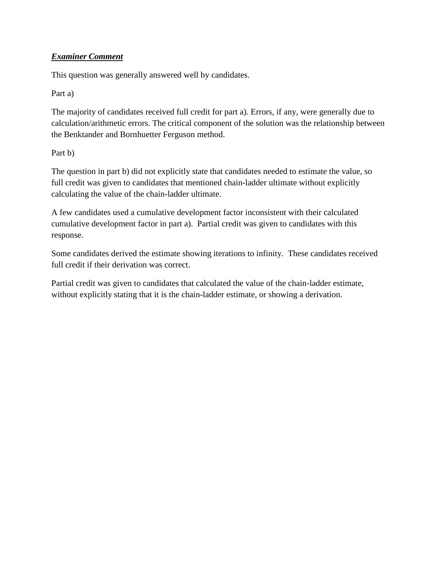# *Examiner Comment*

This question was generally answered well by candidates.

# Part a)

The majority of candidates received full credit for part a). Errors, if any, were generally due to calculation/arithmetic errors. The critical component of the solution was the relationship between the Benktander and Bornhuetter Ferguson method.

# Part b)

The question in part b) did not explicitly state that candidates needed to estimate the value, so full credit was given to candidates that mentioned chain-ladder ultimate without explicitly calculating the value of the chain-ladder ultimate.

A few candidates used a cumulative development factor inconsistent with their calculated cumulative development factor in part a). Partial credit was given to candidates with this response.

Some candidates derived the estimate showing iterations to infinity. These candidates received full credit if their derivation was correct.

Partial credit was given to candidates that calculated the value of the chain-ladder estimate, without explicitly stating that it is the chain-ladder estimate, or showing a derivation.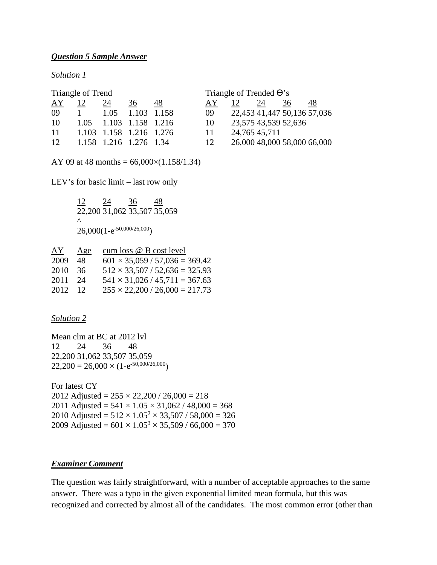#### *Question 5 Sample Answer*

#### *Solution 1*

| Triangle of Trend |      |      |                         |             | Triangle of Trended $\Theta$ 's |                             |    |    |    |
|-------------------|------|------|-------------------------|-------------|---------------------------------|-----------------------------|----|----|----|
| AY                | 12   | 24   | 36                      | 48          | AY.                             | 12                          | 24 | 36 | 48 |
| 09                |      | 1.05 |                         | 1.103 1.158 | 09                              | 22,453 41,447 50,136 57,036 |    |    |    |
| 10                | 1.05 |      | 1.103 1.158 1.216       |             | 10                              | 23,575 43,539 52,636        |    |    |    |
| 11                |      |      | 1.103 1.158 1.216 1.276 |             | 11                              | 24,765 45,711               |    |    |    |
| 12                |      |      | 1.158 1.216 1.276 1.34  |             | 12                              | 26,000 48,000 58,000 66,000 |    |    |    |

AY 09 at 48 months =  $66,000 \times (1.158/1.34)$ 

LEV's for basic limit – last row only

 $\frac{12}{24}$   $\frac{24}{36}$   $\frac{48}{48}$ 22,200 31,062 33,507 35,059  $\wedge$  $26,000(1-e^{-50,000/26,000})$ 

| AY   | Age             | cum loss @ B cost level                   |
|------|-----------------|-------------------------------------------|
| 2009 | 48              | $601 \times 35,059 / 57,036 = 369.42$     |
| 2010 | -36             | $512 \times 33,507 / 52,636 = 325.93$     |
| 2011 | -24             | $541 \times 31,026 / 45,711 = 367.63$     |
| 2012 | $\overline{12}$ | $255 \times 22{,}200 / 26{,}000 = 217.73$ |

#### *Solution 2*

Mean clm at BC at 2012 lvl 12 24 36 48 22,200 31,062 33,507 35,059  $22,200 = 26,000 \times (1-e^{-50,000/26,000})$ 

For latest CY 2012 Adjusted =  $255 \times 22{,}200 / 26{,}000 = 218$ 2011 Adjusted =  $541 \times 1.05 \times 31,062 / 48,000 = 368$ 2010 Adjusted =  $512 \times 1.05^2 \times 33,507 / 58,000 = 326$ 2009 Adjusted =  $601 \times 1.05^3 \times 35,509 / 66,000 = 370$ 

#### *Examiner Comment*

The question was fairly straightforward, with a number of acceptable approaches to the same answer. There was a typo in the given exponential limited mean formula, but this was recognized and corrected by almost all of the candidates. The most common error (other than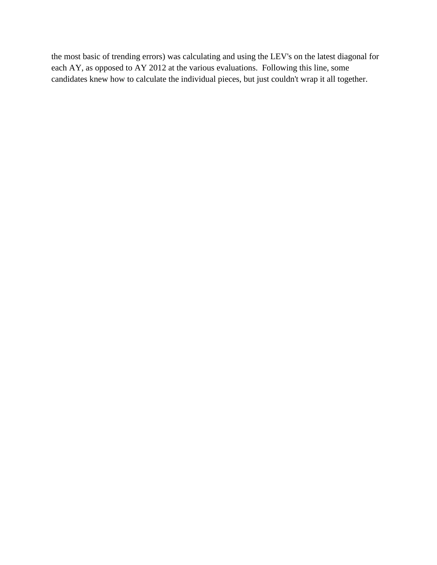the most basic of trending errors) was calculating and using the LEV's on the latest diagonal for each AY, as opposed to AY 2012 at the various evaluations. Following this line, some candidates knew how to calculate the individual pieces, but just couldn't wrap it all together.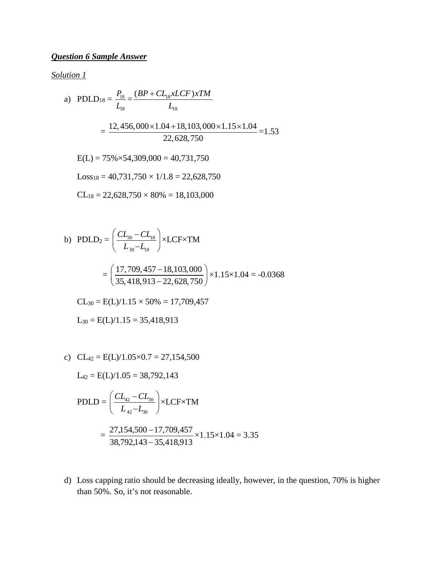# *Question 6 Sample Answer*

*Solution 1*

a) PDLD<sub>18</sub> = 
$$
\frac{P_{18}}{L_{18}} = \frac{(BP + CL_{18}xLCF)xTM}{L_{18}}
$$
  
\n=  $\frac{12,456,000 \times 1.04 + 18,103,000 \times 1.15 \times 1.04}{22,628,750} = 1.53$   
\nE(L) = 75% × 54,309,000 = 40,731,750  
\nLoss<sub>18</sub> = 40,731,750 × 1/1.8 = 22,628,750  
\nCL<sub>18</sub> = 22,628,750 × 80% = 18,103,000

b) PDLD<sub>2</sub> = 
$$
\left(\frac{CL_{30} - CL_{18}}{L_{30} - L_{18}}\right)
$$
 × LCF×TM  
\n
$$
= \left(\frac{17,709,457 - 18,103,000}{35,418,913 - 22,628,750}\right)
$$
 × 1.15×1.04 = -0.0368  
\nCL<sub>30</sub> = E(L)/1.15 × 50% = 17,709,457  
\nL<sub>30</sub> = E(L)/1.15 = 35,418,913

c)  $CL_{42} = E(L)/1.05 \times 0.7 = 27,154,500$ 

$$
L_{42} = E(L)/1.05 = 38,792,143
$$

$$
PDLD = \left(\frac{CL_{42} - CL_{30}}{L_{42} - L_{30}}\right) \times LCF \times TM
$$

$$
=\frac{27,154,500-17,709,457}{38,792,143-35,418,913} \times 1.15 \times 1.04 = 3.35
$$

d) Loss capping ratio should be decreasing ideally, however, in the question, 70% is higher than 50%. So, it's not reasonable.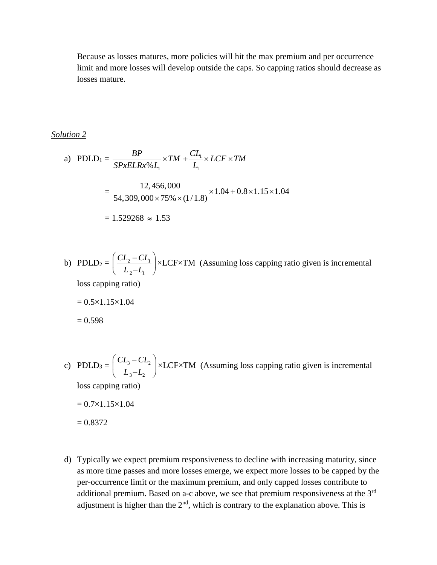Because as losses matures, more policies will hit the max premium and per occurrence limit and more losses will develop outside the caps. So capping ratios should decrease as losses mature.

*Solution 2*

a) PDLD<sub>1</sub> = 
$$
\frac{BP}{SPxELRx\%L_1} \times TM + \frac{CL_1}{L_1} \times LCF \times TM
$$

$$
= \frac{12,456,000}{54,309,000 \times 75\% \times (1/1.8)} \times 1.04 + 0.8 \times 1.15 \times 1.04
$$

$$
= 1.529268 \approx 1.53
$$

- b) PDLD<sub>2</sub> =  $\frac{CD_2 CD_1}{2}$ 2  $-1$  $CL_2 - CL$  $\left(\frac{CL_2 - CL_1}{L_2 - L_1}\right)$ ×LCF×TM (Assuming loss capping ratio given is incremental loss capping ratio)  $= 0.5 \times 1.15 \times 1.04$  $= 0.598$
- c) PDLD<sub>3</sub> =  $\frac{CL_3CL_2}{CL_3}$  $3\quad \overline{2}$  $CL<sub>3</sub> - CL$  $\left(\frac{CL_3 - CL_2}{L_3 - L_2}\right)$ ×LCF×TM (Assuming loss capping ratio given is incremental loss capping ratio)  $= 0.7 \times 1.15 \times 1.04$  $= 0.8372$
- d) Typically we expect premium responsiveness to decline with increasing maturity, since as more time passes and more losses emerge, we expect more losses to be capped by the per-occurrence limit or the maximum premium, and only capped losses contribute to additional premium. Based on a-c above, we see that premium responsiveness at the 3rd adjustment is higher than the  $2<sup>nd</sup>$ , which is contrary to the explanation above. This is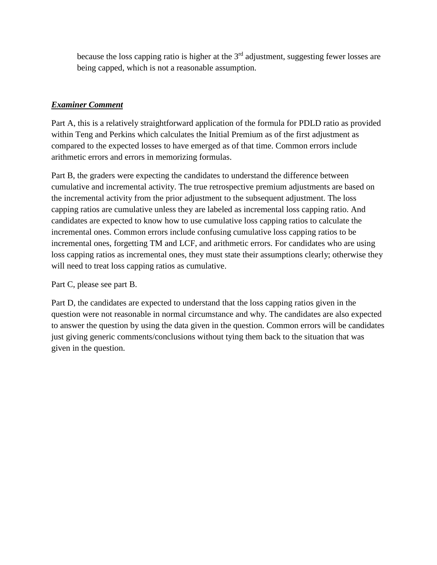because the loss capping ratio is higher at the  $3<sup>rd</sup>$  adjustment, suggesting fewer losses are being capped, which is not a reasonable assumption.

# *Examiner Comment*

Part A, this is a relatively straightforward application of the formula for PDLD ratio as provided within Teng and Perkins which calculates the Initial Premium as of the first adjustment as compared to the expected losses to have emerged as of that time. Common errors include arithmetic errors and errors in memorizing formulas.

Part B, the graders were expecting the candidates to understand the difference between cumulative and incremental activity. The true retrospective premium adjustments are based on the incremental activity from the prior adjustment to the subsequent adjustment. The loss capping ratios are cumulative unless they are labeled as incremental loss capping ratio. And candidates are expected to know how to use cumulative loss capping ratios to calculate the incremental ones. Common errors include confusing cumulative loss capping ratios to be incremental ones, forgetting TM and LCF, and arithmetic errors. For candidates who are using loss capping ratios as incremental ones, they must state their assumptions clearly; otherwise they will need to treat loss capping ratios as cumulative.

Part C, please see part B.

Part D, the candidates are expected to understand that the loss capping ratios given in the question were not reasonable in normal circumstance and why. The candidates are also expected to answer the question by using the data given in the question. Common errors will be candidates just giving generic comments/conclusions without tying them back to the situation that was given in the question.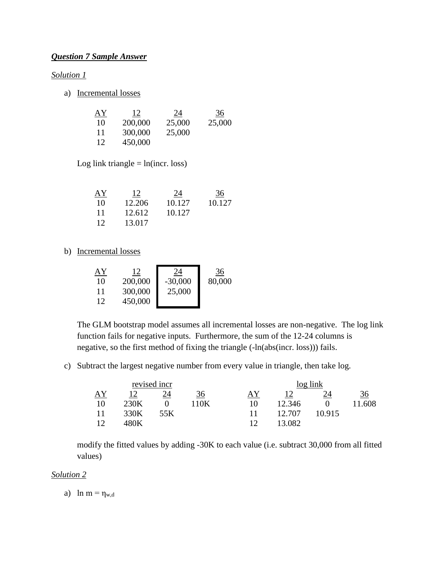# *Question 7 Sample Answer*

#### *Solution 1*

a) Incremental losses

| AY | 12      | 24     | 36     |
|----|---------|--------|--------|
| 10 | 200,000 | 25,000 | 25,000 |
| 11 | 300,000 | 25,000 |        |
| 12 | 450,000 |        |        |

Log link triangle  $=$  ln(incr. loss)

| AY              | 12     | <u>24</u> | 36     |
|-----------------|--------|-----------|--------|
| 10              | 12.206 | 10.127    | 10.127 |
| 11              | 12.612 | 10.127    |        |
| 12 <sub>1</sub> | 13.017 |           |        |

### b) Incremental losses

| ΑY<br>10<br>11<br>12 | 12<br>200,000<br>300,000 | 24<br>$-30,000$<br>25,000 | 36<br>80,000 |
|----------------------|--------------------------|---------------------------|--------------|
|                      | 450,000                  |                           |              |

The GLM bootstrap model assumes all incremental losses are non-negative. The log link function fails for negative inputs. Furthermore, the sum of the 12-24 columns is negative, so the first method of fixing the triangle (-ln(abs(incr. loss))) fails.

c) Subtract the largest negative number from every value in triangle, then take log.

| revised incr |      |      |      | log link |        |        |        |
|--------------|------|------|------|----------|--------|--------|--------|
| AY           |      | 24   | 36   | ΑY       |        | 24     | 36     |
| 10           | 230K |      | 110K | 10       | 12.346 |        | 11.608 |
|              | 330K | 55 K |      |          | 12.707 | 10.915 |        |
| 1 າ          | 180K |      |      | 12       | 13.082 |        |        |

modify the fitted values by adding -30K to each value (i.e. subtract 30,000 from all fitted values)

#### *Solution 2*

a)  $\ln m = \eta_{w,d}$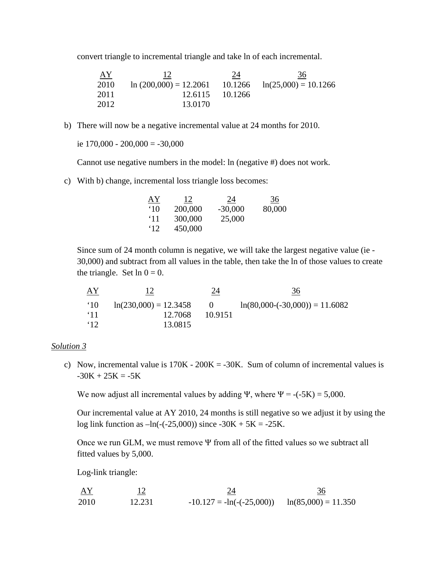convert triangle to incremental triangle and take ln of each incremental.

| <u>AY</u> | 12                                                          | 24       | 36 |
|-----------|-------------------------------------------------------------|----------|----|
| 2010      | $\ln (200,000) = 12.2061$ $10.1266$ $\ln(25,000) = 10.1266$ |          |    |
| 2011      | 12.6115                                                     | -10.1266 |    |
| 2012      | 13.0170                                                     |          |    |

b) There will now be a negative incremental value at 24 months for 2010.

ie  $170,000 - 200,000 = -30,000$ 

Cannot use negative numbers in the model: ln (negative #) does not work.

c) With b) change, incremental loss triangle loss becomes:

| AY           | 12      | 24        | 36     |
|--------------|---------|-----------|--------|
| $^{\circ}10$ | 200,000 | $-30,000$ | 80,000 |
| $^{\circ}11$ | 300,000 | 25,000    |        |
| $^{\circ}12$ | 450,000 |           |        |

Since sum of 24 month column is negative, we will take the largest negative value (ie - 30,000) and subtract from all values in the table, then take the ln of those values to create the triangle. Set  $\ln 0 = 0$ .

| <u>AY</u>    |                         | 24         | 36                               |
|--------------|-------------------------|------------|----------------------------------|
| $^{\circ}10$ | $ln(230,000) = 12.3458$ | $\sqrt{1}$ | $ln(80,000-(-30,000)) = 11.6082$ |
| $^{\circ}11$ | 12.7068                 | 10.9151    |                                  |
| $\cdot$ 12   | 13.0815                 |            |                                  |

#### *Solution 3*

c) Now, incremental value is  $170K - 200K = -30K$ . Sum of column of incremental values is  $-30K + 25K = -5K$ 

We now adjust all incremental values by adding Ψ, where  $\Psi = -(5K) = 5,000$ .

Our incremental value at AY 2010, 24 months is still negative so we adjust it by using the log link function as  $-\ln(-(25,000))$  since  $-30K + 5K = -25K$ .

Once we run GLM, we must remove  $\Psi$  from all of the fitted values so we subtract all fitted values by 5,000.

Log-link triangle:

 $\frac{AY}{12}$   $\frac{12}{12}$   $\frac{24}{12}$   $\frac{36}{12}$ 2010 12.231  $-10.127 = -ln(-(25,000)) ln(85,000) = 11.350$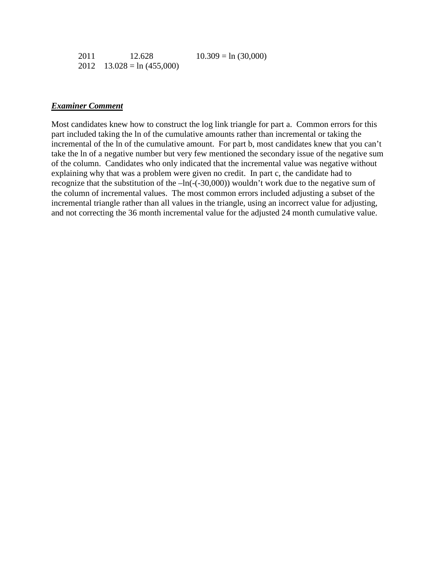| 2011 | 12.628                       | $10.309 = \ln (30,000)$ |
|------|------------------------------|-------------------------|
|      | 2012 $13.028 = \ln(455,000)$ |                         |

#### *Examiner Comment*

Most candidates knew how to construct the log link triangle for part a. Common errors for this part included taking the ln of the cumulative amounts rather than incremental or taking the incremental of the ln of the cumulative amount. For part b, most candidates knew that you can't take the ln of a negative number but very few mentioned the secondary issue of the negative sum of the column. Candidates who only indicated that the incremental value was negative without explaining why that was a problem were given no credit. In part c, the candidate had to recognize that the substitution of the  $-\ln(-(30,000))$  wouldn't work due to the negative sum of the column of incremental values. The most common errors included adjusting a subset of the incremental triangle rather than all values in the triangle, using an incorrect value for adjusting, and not correcting the 36 month incremental value for the adjusted 24 month cumulative value.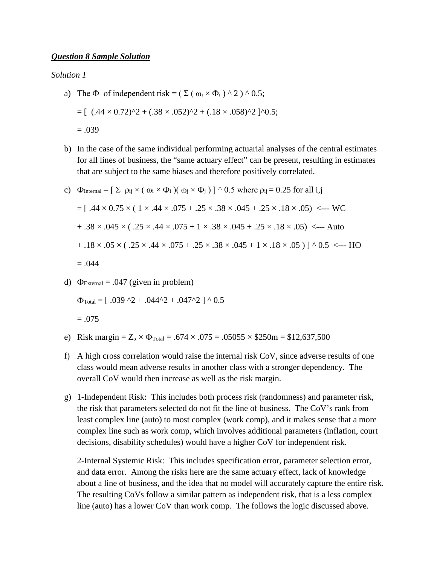#### *Question 8 Sample Solution*

#### *Solution 1*

- a) The  $\Phi$  of independent risk = ( $\Sigma$  ( $\omega_i \times \Phi_i$ ) ^ 2) ^ 0.5;  $= [$  (.44 × 0.72)^2 + (.38 × .052)^2 + (.18 × .058)^2 ]^0.5;  $= .039$
- b) In the case of the same individual performing actuarial analyses of the central estimates for all lines of business, the "same actuary effect" can be present, resulting in estimates that are subject to the same biases and therefore positively correlated.

c) 
$$
\Phi_{\text{Internal}} = [\Sigma \rho_{ij} \times (\omega_i \times \Phi_i) (\omega_j \times \Phi_j)]^{\wedge} 0.5 \text{ where } \rho_{ij} = 0.25 \text{ for all } i, j
$$
  
\n $= [ .44 \times 0.75 \times ( 1 \times .44 \times .075 + .25 \times .38 \times .045 + .25 \times .18 \times .05) \leftarrow -\text{WC}$   
\n $+ .38 \times .045 \times (.25 \times .44 \times .075 + 1 \times .38 \times .045 + .25 \times .18 \times .05) \leftarrow -\text{Auto}$   
\n $+ .18 \times .05 \times (.25 \times .44 \times .075 + .25 \times .38 \times .045 + 1 \times .18 \times .05) ]^{\wedge} 0.5 \leftarrow -\text{HO}$   
\n $= .044$ 

d)  $\Phi_{\text{External}} = .047$  (given in problem)

 $\Phi_{\text{Total}} = [ .039 \text{ }^{\circ}\text{2} + .044\text{ }^{\circ}\text{2} + .047\text{ }^{\circ}\text{2} ] \wedge 0.5$ 

 $= .075$ 

- e) Risk margin =  $Z_{\alpha} \times \Phi_{\text{Total}} = .674 \times .075 = .05055 \times $250 \text{m} = $12,637,500$
- f) A high cross correlation would raise the internal risk CoV, since adverse results of one class would mean adverse results in another class with a stronger dependency. The overall CoV would then increase as well as the risk margin.
- g) 1-Independent Risk: This includes both process risk (randomness) and parameter risk, the risk that parameters selected do not fit the line of business. The CoV's rank from least complex line (auto) to most complex (work comp), and it makes sense that a more complex line such as work comp, which involves additional parameters (inflation, court decisions, disability schedules) would have a higher CoV for independent risk.

2-Internal Systemic Risk: This includes specification error, parameter selection error, and data error. Among the risks here are the same actuary effect, lack of knowledge about a line of business, and the idea that no model will accurately capture the entire risk. The resulting CoVs follow a similar pattern as independent risk, that is a less complex line (auto) has a lower CoV than work comp. The follows the logic discussed above.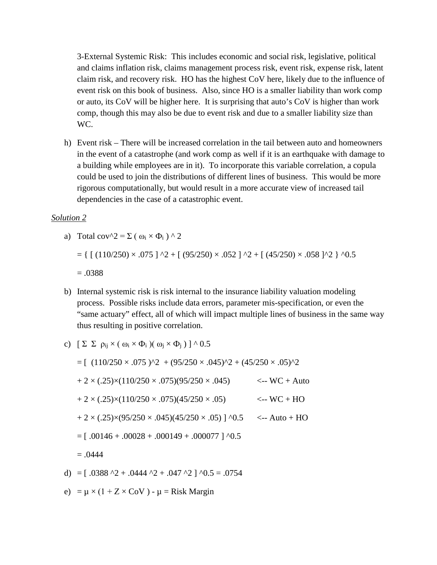3-External Systemic Risk: This includes economic and social risk, legislative, political and claims inflation risk, claims management process risk, event risk, expense risk, latent claim risk, and recovery risk. HO has the highest CoV here, likely due to the influence of event risk on this book of business. Also, since HO is a smaller liability than work comp or auto, its CoV will be higher here. It is surprising that auto's CoV is higher than work comp, though this may also be due to event risk and due to a smaller liability size than WC.

h) Event risk – There will be increased correlation in the tail between auto and homeowners in the event of a catastrophe (and work comp as well if it is an earthquake with damage to a building while employees are in it). To incorporate this variable correlation, a copula could be used to join the distributions of different lines of business. This would be more rigorous computationally, but would result in a more accurate view of increased tail dependencies in the case of a catastrophic event.

#### *Solution 2*

a) Total cov<sup>$$
\wedge
$$</sup>2 =  $\Sigma$  ( $\omega_i \times \Phi_i$ )  $\wedge$  2

$$
= \{ [ (110/250) \times .075 ] ^{^{\wedge}2} + [ (95/250) \times .052 ] ^{^{\wedge}2} + [ (45/250) \times .058 ] ^{^{\wedge}2} \} ^{^{\wedge}0.5}
$$

 $=.0388$ 

b) Internal systemic risk is risk internal to the insurance liability valuation modeling process. Possible risks include data errors, parameter mis-specification, or even the "same actuary" effect, all of which will impact multiple lines of business in the same way thus resulting in positive correlation.

c) 
$$
\left[\sum \sum \rho_{ij} \times (\omega_i \times \Phi_i) (\omega_j \times \Phi_j) \right] \wedge 0.5
$$

$$
= [ (110/250 \times .075)^{2} + (95/250 \times .045)^{2} + (45/250 \times .05)^{2}
$$
  
+ 2 × (.25)×(110/250 × .075)(95/250 × .045)   

$$
+ 2 × (.25)×(110/250 × .075)(45/250 × .05) 
$$
= 2 × (.25)×(95/250 × .045)(45/250 × .05) ] \cdot 0.5 
$$
= [ .00146 + .00028 + .000149 + .000077 ] \cdot 0.5
$$
  
= .0444  
d) = [.0388 ~2 + .0444 ~2 + .047 ~2 ] ~0.5 = .0754
$$
$$

e) =  $\mu \times (1 + Z \times CoV) - \mu$  = Risk Margin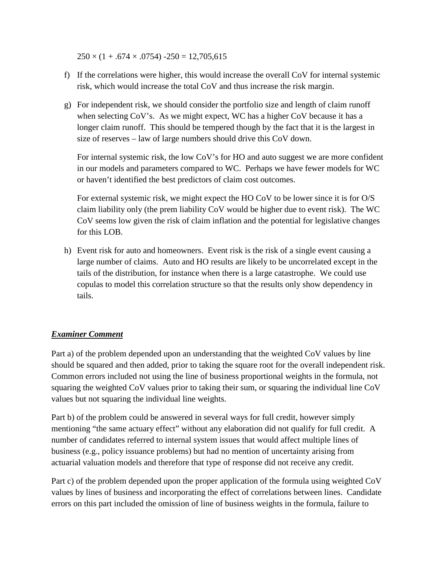$250 \times (1 + .674 \times .0754) -250 = 12,705,615$ 

- f) If the correlations were higher, this would increase the overall CoV for internal systemic risk, which would increase the total CoV and thus increase the risk margin.
- g) For independent risk, we should consider the portfolio size and length of claim runoff when selecting CoV's. As we might expect, WC has a higher CoV because it has a longer claim runoff. This should be tempered though by the fact that it is the largest in size of reserves – law of large numbers should drive this CoV down.

For internal systemic risk, the low CoV's for HO and auto suggest we are more confident in our models and parameters compared to WC. Perhaps we have fewer models for WC or haven't identified the best predictors of claim cost outcomes.

For external systemic risk, we might expect the HO CoV to be lower since it is for O/S claim liability only (the prem liability CoV would be higher due to event risk). The WC CoV seems low given the risk of claim inflation and the potential for legislative changes for this LOB.

h) Event risk for auto and homeowners. Event risk is the risk of a single event causing a large number of claims. Auto and HO results are likely to be uncorrelated except in the tails of the distribution, for instance when there is a large catastrophe. We could use copulas to model this correlation structure so that the results only show dependency in tails.

# *Examiner Comment*

Part a) of the problem depended upon an understanding that the weighted CoV values by line should be squared and then added, prior to taking the square root for the overall independent risk. Common errors included not using the line of business proportional weights in the formula, not squaring the weighted CoV values prior to taking their sum, or squaring the individual line CoV values but not squaring the individual line weights.

Part b) of the problem could be answered in several ways for full credit, however simply mentioning "the same actuary effect" without any elaboration did not qualify for full credit. A number of candidates referred to internal system issues that would affect multiple lines of business (e.g., policy issuance problems) but had no mention of uncertainty arising from actuarial valuation models and therefore that type of response did not receive any credit.

Part c) of the problem depended upon the proper application of the formula using weighted CoV values by lines of business and incorporating the effect of correlations between lines. Candidate errors on this part included the omission of line of business weights in the formula, failure to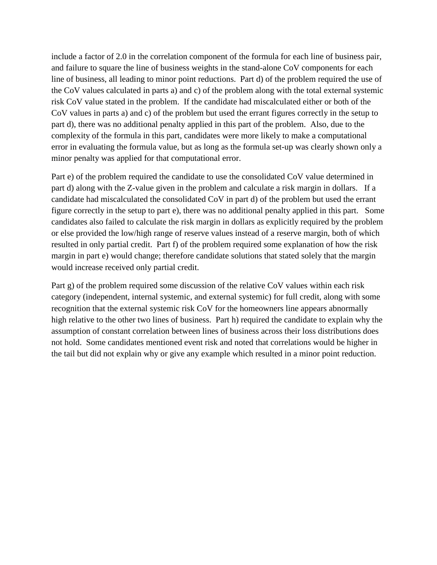include a factor of 2.0 in the correlation component of the formula for each line of business pair, and failure to square the line of business weights in the stand-alone CoV components for each line of business, all leading to minor point reductions. Part d) of the problem required the use of the CoV values calculated in parts a) and c) of the problem along with the total external systemic risk CoV value stated in the problem. If the candidate had miscalculated either or both of the CoV values in parts a) and c) of the problem but used the errant figures correctly in the setup to part d), there was no additional penalty applied in this part of the problem. Also, due to the complexity of the formula in this part, candidates were more likely to make a computational error in evaluating the formula value, but as long as the formula set-up was clearly shown only a minor penalty was applied for that computational error.

Part e) of the problem required the candidate to use the consolidated CoV value determined in part d) along with the Z-value given in the problem and calculate a risk margin in dollars. If a candidate had miscalculated the consolidated CoV in part d) of the problem but used the errant figure correctly in the setup to part e), there was no additional penalty applied in this part. Some candidates also failed to calculate the risk margin in dollars as explicitly required by the problem or else provided the low/high range of reserve values instead of a reserve margin, both of which resulted in only partial credit. Part f) of the problem required some explanation of how the risk margin in part e) would change; therefore candidate solutions that stated solely that the margin would increase received only partial credit.

Part g) of the problem required some discussion of the relative CoV values within each risk category (independent, internal systemic, and external systemic) for full credit, along with some recognition that the external systemic risk CoV for the homeowners line appears abnormally high relative to the other two lines of business. Part h) required the candidate to explain why the assumption of constant correlation between lines of business across their loss distributions does not hold. Some candidates mentioned event risk and noted that correlations would be higher in the tail but did not explain why or give any example which resulted in a minor point reduction.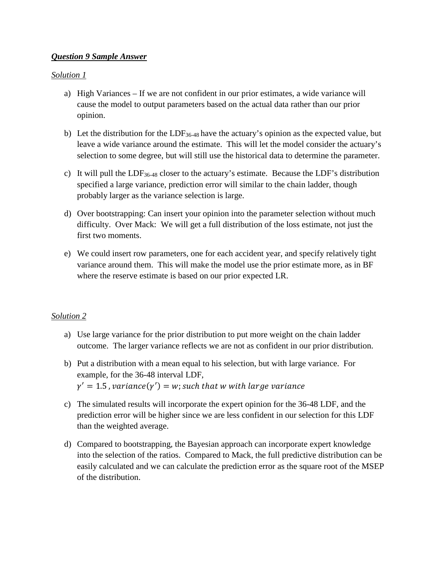### *Question 9 Sample Answer*

### *Solution 1*

- a) High Variances If we are not confident in our prior estimates, a wide variance will cause the model to output parameters based on the actual data rather than our prior opinion.
- b) Let the distribution for the LDF<sub>36-48</sub> have the actuary's opinion as the expected value, but leave a wide variance around the estimate. This will let the model consider the actuary's selection to some degree, but will still use the historical data to determine the parameter.
- c) It will pull the LDF36-48 closer to the actuary's estimate. Because the LDF's distribution specified a large variance, prediction error will similar to the chain ladder, though probably larger as the variance selection is large.
- d) Over bootstrapping: Can insert your opinion into the parameter selection without much difficulty. Over Mack: We will get a full distribution of the loss estimate, not just the first two moments.
- e) We could insert row parameters, one for each accident year, and specify relatively tight variance around them. This will make the model use the prior estimate more, as in BF where the reserve estimate is based on our prior expected LR.

# *Solution 2*

- a) Use large variance for the prior distribution to put more weight on the chain ladder outcome. The larger variance reflects we are not as confident in our prior distribution.
- b) Put a distribution with a mean equal to his selection, but with large variance. For example, for the 36-48 interval LDF,  $\gamma'=1.5$  ,  $variance(\gamma')=w$ ; such that  $w$  with large variance
- c) The simulated results will incorporate the expert opinion for the 36-48 LDF, and the prediction error will be higher since we are less confident in our selection for this LDF than the weighted average.
- d) Compared to bootstrapping, the Bayesian approach can incorporate expert knowledge into the selection of the ratios. Compared to Mack, the full predictive distribution can be easily calculated and we can calculate the prediction error as the square root of the MSEP of the distribution.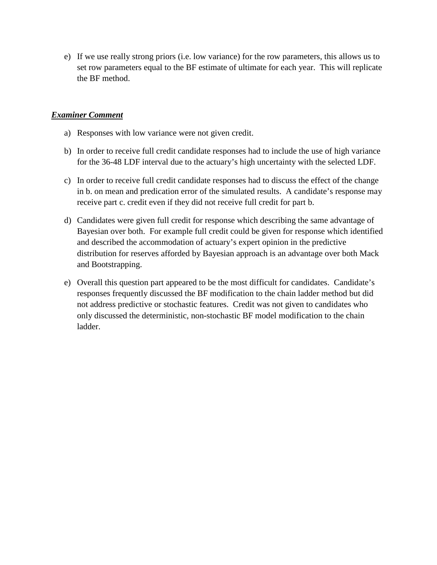e) If we use really strong priors (i.e. low variance) for the row parameters, this allows us to set row parameters equal to the BF estimate of ultimate for each year. This will replicate the BF method.

### *Examiner Comment*

- a) Responses with low variance were not given credit.
- b) In order to receive full credit candidate responses had to include the use of high variance for the 36-48 LDF interval due to the actuary's high uncertainty with the selected LDF.
- c) In order to receive full credit candidate responses had to discuss the effect of the change in b. on mean and predication error of the simulated results. A candidate's response may receive part c. credit even if they did not receive full credit for part b.
- d) Candidates were given full credit for response which describing the same advantage of Bayesian over both. For example full credit could be given for response which identified and described the accommodation of actuary's expert opinion in the predictive distribution for reserves afforded by Bayesian approach is an advantage over both Mack and Bootstrapping.
- e) Overall this question part appeared to be the most difficult for candidates. Candidate's responses frequently discussed the BF modification to the chain ladder method but did not address predictive or stochastic features. Credit was not given to candidates who only discussed the deterministic, non-stochastic BF model modification to the chain ladder.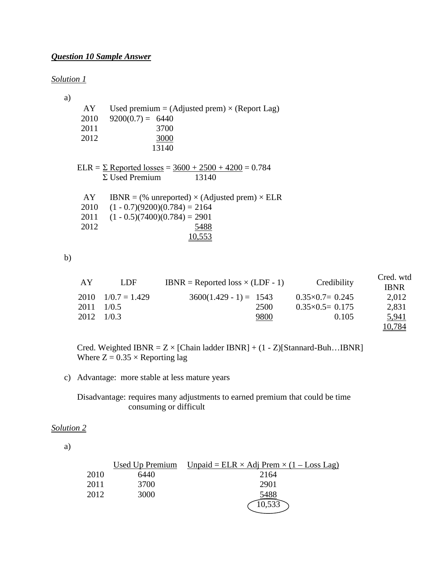# *Question 10 Sample Answer*

#### *Solution 1*

a)

| AY    | Used premium = (Adjusted prem) $\times$ (Report Lag) |
|-------|------------------------------------------------------|
| 2010  | $9200(0.7) = 6440$                                   |
| 2011  | 3700                                                 |
| 2012. | 3000                                                 |
|       | 13140                                                |
|       |                                                      |

ELR =  $\Sigma$  Reported losses =  $3600 + 2500 + 4200 = 0.784$  $\Sigma$  Used Premium 13140

| AY.  | IBNR = $%$ unreported) $\times$ (Adjusted prem) $\times$ ELR |
|------|--------------------------------------------------------------|
|      | $2010$ $(1 - 0.7)(9200)(0.784) = 2164$                       |
|      | $2011$ $(1 - 0.5)(7400)(0.784) = 2901$                       |
| 2012 | 5488                                                         |
|      | 10,553                                                       |

b)

| AY | LDF                        | IBNR = Reported loss $\times$ (LDF - 1) | Credibility               | Cred. wtd<br><b>IBNR</b> |
|----|----------------------------|-----------------------------------------|---------------------------|--------------------------|
|    | $2010 \quad 1/0.7 = 1.429$ | $3600(1.429 - 1) = 1543$                | $0.35 \times 0.7 = 0.245$ | 2,012                    |
|    | 2011 1/0.5                 | 2500                                    | $0.35 \times 0.5 = 0.175$ | 2,831                    |
|    | 2012 1/0.3                 | 9800                                    | 0.105                     | 5,941                    |
|    |                            |                                         |                           | 10,784                   |

Cred. Weighted IBNR =  $Z \times$  [Chain ladder IBNR] + (1 - Z)[Stannard-Buh...IBNR] Where  $Z = 0.35 \times$  Reporting lag

c) Advantage: more stable at less mature years

Disadvantage: requires many adjustments to earned premium that could be time consuming or difficult

### *Solution 2*

a)

|      |      | Used Up Premium Unpaid = $ELR \times Adj$ Prem $\times (1 - Loss$ Lag) |
|------|------|------------------------------------------------------------------------|
| 2010 | 6440 | 2164                                                                   |
| 2011 | 3700 | 2901                                                                   |
| 2012 | 3000 | 5488                                                                   |
|      |      | $\widehat{10,533}$                                                     |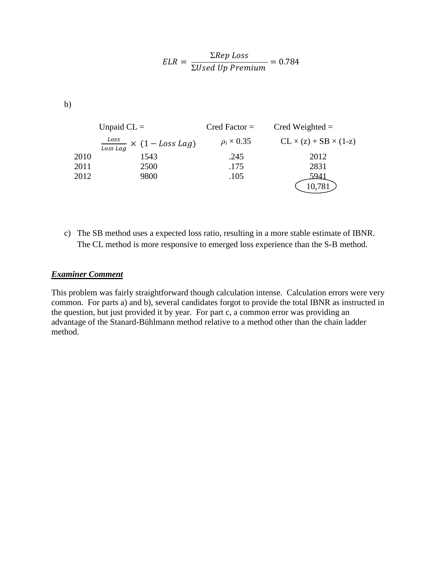$$
ELR = \frac{\Sigma Rep \text{ Loss}}{\Sigma Used \text{ Up } Premium} = 0.784
$$

b)

|      | Unpaid $CL =$                                                 | $Cred Factor =$      | Cred Weighted $=$                 |
|------|---------------------------------------------------------------|----------------------|-----------------------------------|
|      | $\frac{Loss}{Loss \text{ }tag} \times (1 - Loss \text{ }Lag)$ | $\rho_i \times 0.35$ | $CL \times (z) + SB \times (1-z)$ |
| 2010 | 1543                                                          | .245                 | 2012                              |
| 2011 | 2500                                                          | .175                 | 2831                              |
| 2012 | 9800                                                          | .105                 | 5941                              |
|      |                                                               |                      |                                   |

c) The SB method uses a expected loss ratio, resulting in a more stable estimate of IBNR. The CL method is more responsive to emerged loss experience than the S-B method.

### *Examiner Comment*

This problem was fairly straightforward though calculation intense. Calculation errors were very common. For parts a) and b), several candidates forgot to provide the total IBNR as instructed in the question, but just provided it by year. For part c, a common error was providing an advantage of the Stanard-Bühlmann method relative to a method other than the chain ladder method.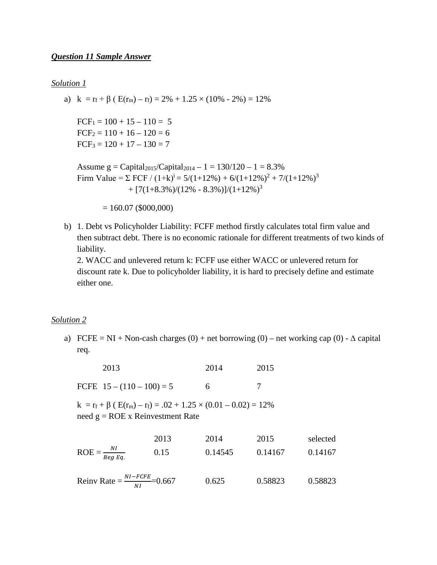#### *Solution 1*

a) k =  $r_f$  +  $\beta$  (  $E(r_m) - r_f$ ) = 2% + 1.25 × (10% - 2%) = 12%

 $FCF_1 = 100 + 15 - 110 = 5$  $FCF_2 = 110 + 16 - 120 = 6$  $FCF_3 = 120 + 17 - 130 = 7$ 

```
Assume g = Capital<sub>2015</sub>/Capital<sub>2014</sub> - 1 = 130/120 - 1 = 8.3%Firm Value = \Sigma FCF / (1+k)<sup>i</sup> = 5/(1+12%) + 6/(1+12%)<sup>2</sup> + 7/(1+12%)<sup>3</sup>
                    + [7(1+8.3%)/(12% - 8.3%)]/(1+12%)<sup>3</sup>
```
 $= 160.07 (15000,000)$ 

b) 1. Debt vs Policyholder Liability: FCFF method firstly calculates total firm value and then subtract debt. There is no economic rationale for different treatments of two kinds of liability.

2. WACC and unlevered return k: FCFF use either WACC or unlevered return for discount rate k. Due to policyholder liability, it is hard to precisely define and estimate either one.

#### *Solution 2*

a) FCFE = NI + Non-cash charges  $(0)$  + net borrowing  $(0)$  – net working cap  $(0)$  -  $\Delta$  capital req.

| 2013 | 2014 | 2015 |
|------|------|------|
|      |      |      |

FCFE  $15 - (110 - 100) = 5$  6 7

 $k = r_f + \beta$  ( $E(r_m) - r_f$ ) = .02 + 1.25 × (0.01 – 0.02) = 12% need  $g = ROE$  x Reinvestment Rate

|                           | 2013 | 2014    | 2015    | selected |
|---------------------------|------|---------|---------|----------|
| $ROE = \frac{NI}{BegEq.}$ | 0.15 | 0.14545 | 0.14167 | 0.14167  |

Reinv Rate  $=$   $\frac{NI - FCFE}{NI}$ =0.667 0.625 0.58823 0.58823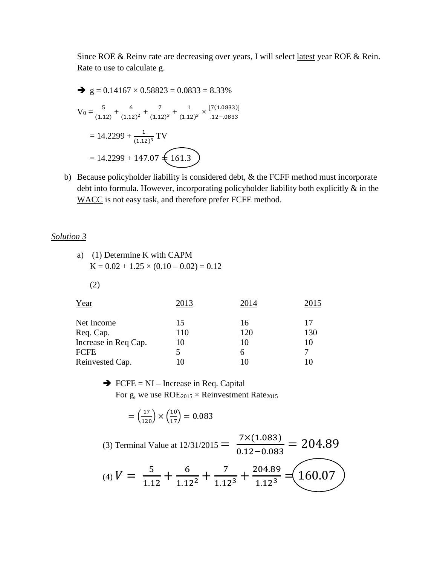Since ROE & Reinv rate are decreasing over years, I will select latest year ROE & Rein. Rate to use to calculate g.

$$
\begin{aligned}\n\blacktriangleright \text{ g} &= 0.14167 \times 0.58823 = 0.0833 = 8.33\% \\
\text{V}_0 &= \frac{5}{(1.12)} + \frac{6}{(1.12)^2} + \frac{7}{(1.12)^3} + \frac{1}{(1.12)^3} \times \frac{[7(1.0833)]}{.12 - .0833} \\
&= 14.2299 + \frac{1}{(1.12)^3} \text{TV} \\
&= 14.2299 + 147.07 \underbrace{\text{161.3}}\n\end{aligned}
$$

b) Because policyholder liability is considered debt, & the FCFF method must incorporate debt into formula. However, incorporating policyholder liability both explicitly & in the WACC is not easy task, and therefore prefer FCFE method.

#### *Solution 3*

| a) (1) Determine K with CAPM                  |
|-----------------------------------------------|
| $K = 0.02 + 1.25 \times (0.10 - 0.02) = 0.12$ |

(2)

| Year                 | 2013 | 2014 | 2015 |
|----------------------|------|------|------|
| Net Income           | 15   | 16   | 17   |
| Req. Cap.            | 110  | 120  | 130  |
| Increase in Req Cap. | 10   | 10   | 10   |
| FCFE                 |      | h    | 7    |
| Reinvested Cap.      |      |      |      |

# $\rightarrow$  FCFE = NI – Increase in Req. Capital For g, we use  $ROE<sub>2015</sub> \times Reinvestment Rate<sub>2015</sub>$

$$
= \left(\frac{17}{120}\right) \times \left(\frac{10}{17}\right) = 0.083
$$

(3) Terminal Value at  $12/31/2015 = \frac{7 \times (1.083)}{0.12 - 0.083}$  $\frac{1}{0.12 - 0.083} = 204.89$ (4)  $V = \frac{5}{11}$  $\frac{5}{1.12} + \frac{6}{1.12^2} + \frac{7}{1.12^3} + \frac{204.89}{1.12^3} = 160.07$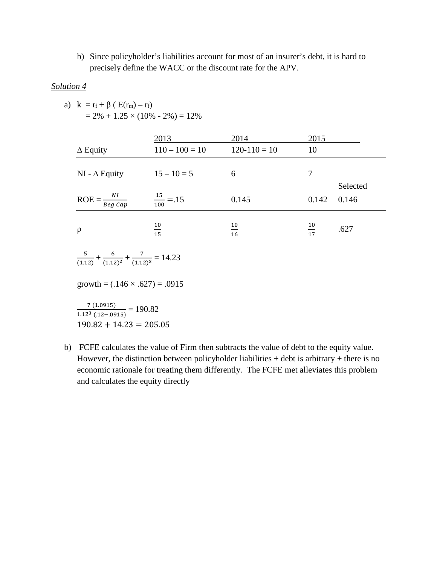b) Since policyholder's liabilities account for most of an insurer's debt, it is hard to precisely define the WACC or the discount rate for the APV.

#### *Solution 4*

a)  $k = r_f + \beta (E(r_m) - r_f)$  $= 2\% + 1.25 \times (10\% - 2\%) = 12\%$ 

| $\Delta$ Equity                    | 2013<br>$110 - 100 = 10$ | 2014<br>$120-110=10$ | 2015<br>10 |                   |
|------------------------------------|--------------------------|----------------------|------------|-------------------|
| NI - $\Delta$ Equity               | $15 - 10 = 5$            | 6                    | 7          |                   |
| $\text{ROE} = \frac{NI}{Beg\;Cap}$ | $\frac{15}{100} = .15$   | 0.145                | 0.142      | Selected<br>0.146 |
| $\rho$                             | 10<br>$\frac{1}{15}$     | 10<br>16             | 10<br>17   | .627              |
|                                    |                          |                      |            |                   |

$$
\frac{5}{(1.12)} + \frac{6}{(1.12)^2} + \frac{7}{(1.12)^3} = 14.23
$$

growth =  $(.146 \times .627) = .0915$ 

 $\frac{7 (1.0915)}{1.12^3 (12 - 0.0915)} = 190.82$  $190.82 + 14.23 = 205.05$ 

b) FCFE calculates the value of Firm then subtracts the value of debt to the equity value. However, the distinction between policyholder liabilities  $+$  debt is arbitrary  $+$  there is no economic rationale for treating them differently. The FCFE met alleviates this problem and calculates the equity directly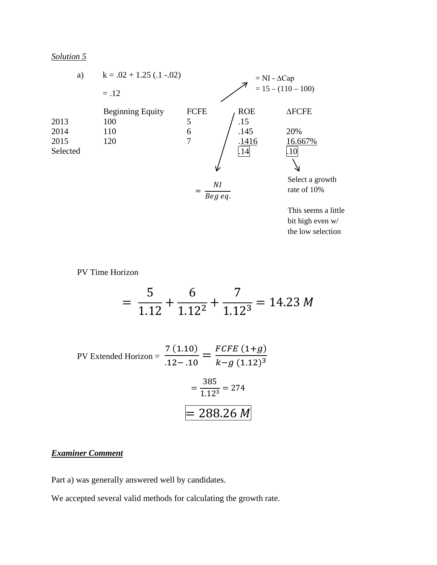

bit high even w/ the low selection

PV Time Horizon

*Solution 5*

$$
= \frac{5}{1.12} + \frac{6}{1.12^2} + \frac{7}{1.12^3} = 14.23 M
$$

PV Extended Horizon =  $\frac{7(1.10)}{12.12}$  $\frac{1}{12-10}$  =  $FCFE(1+g)$  $k-g$  (1.12)<sup>3</sup>  $=\frac{385}{1125}$  $\frac{1}{1.123} = 274$  $= 288.26 M$ 

# *Examiner Comment*

Part a) was generally answered well by candidates.

We accepted several valid methods for calculating the growth rate.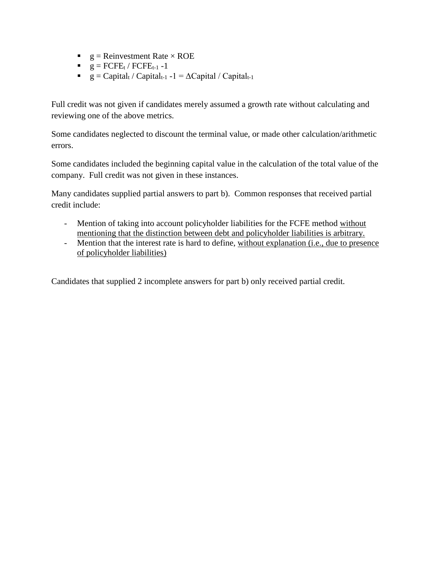- $g =$  Reinvestment Rate  $\times$  ROE
- $g = FCFE_t / FCFE_{t-1} 1$
- $g = Capital_t / Capital_{t-1} -1 = \Delta Capital / Capital_{t-1}$

Full credit was not given if candidates merely assumed a growth rate without calculating and reviewing one of the above metrics.

Some candidates neglected to discount the terminal value, or made other calculation/arithmetic errors.

Some candidates included the beginning capital value in the calculation of the total value of the company. Full credit was not given in these instances.

Many candidates supplied partial answers to part b). Common responses that received partial credit include:

- Mention of taking into account policyholder liabilities for the FCFE method without mentioning that the distinction between debt and policyholder liabilities is arbitrary.
- Mention that the interest rate is hard to define, without explanation (i.e., due to presence of policyholder liabilities)

Candidates that supplied 2 incomplete answers for part b) only received partial credit.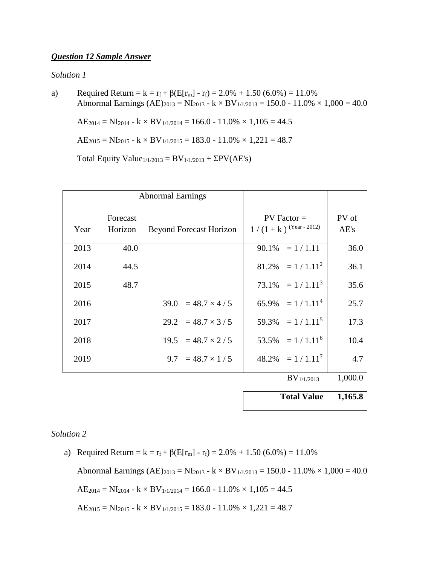#### *Question 12 Sample Answer*

#### *Solution 1*

a) Required Return =  $k = r_f + \beta(E[r_m] - r_f) = 2.0\% + 1.50(6.0\%) = 11.0\%$ Abnormal Earnings  $(AE)_{2013} = NI_{2013} - k \times BV_{1/1/2013} = 150.0 - 11.0\% \times 1,000 = 40.0$ 

 $AE_{2014} = NI_{2014} - k \times BV_{1/1/2014} = 166.0 - 11.0\% \times 1,105 = 44.5$ 

 $AE_{2015} = NI_{2015} - k \times BV_{1/1/2015} = 183.0 - 11.0\% \times 1,221 = 48.7$ 

Total Equity Value $_{1/1/2013} = BV_{1/1/2013} + \Sigma PV(AE's)$ 

|      |                     | <b>Abnormal Earnings</b>       |                                          |               |
|------|---------------------|--------------------------------|------------------------------------------|---------------|
| Year | Forecast<br>Horizon | <b>Beyond Forecast Horizon</b> | $PV Factor =$<br>$1/(1+k)$ (Year - 2012) | PV of<br>AE's |
| 2013 | 40.0                |                                | $90.1\% = 1/1.11$                        | 36.0          |
| 2014 | 44.5                |                                | $81.2\% = 1/1.11^2$                      | 36.1          |
| 2015 | 48.7                |                                | $73.1\% = 1 / 1.11^3$                    | 35.6          |
| 2016 |                     | $39.0 = 48.7 \times 4 / 5$     | $65.9\% = 1/1.11^4$                      | 25.7          |
| 2017 |                     | $29.2 = 48.7 \times 3 / 5$     | $59.3\% = 1 / 1.11^5$                    | 17.3          |
| 2018 |                     | $19.5 = 48.7 \times 2 / 5$     | $53.5\% = 1/1.11^6$                      | 10.4          |
| 2019 |                     | $9.7 = 48.7 \times 1/5$        | $48.2\% = 1 / 1.11^{7}$                  | 4.7           |
|      |                     |                                | $BV_{1/1/2013}$                          | 1,000.0       |

**Total Value 1,165.8** 

#### *Solution 2*

a) Required Return =  $k = r_f + \beta(E[r_m] - r_f) = 2.0\% + 1.50(6.0\%) = 11.0\%$ Abnormal Earnings  $(AE)_{2013} = NI_{2013} - k \times BV_{1/1/2013} = 150.0 - 11.0\% \times 1,000 = 40.0$  $AE_{2014} = NI_{2014} - k \times BV_{1/1/2014} = 166.0 - 11.0\% \times 1,105 = 44.5$  $AE_{2015} = NI_{2015} - k \times BV_{1/1/2015} = 183.0 - 11.0\% \times 1,221 = 48.7$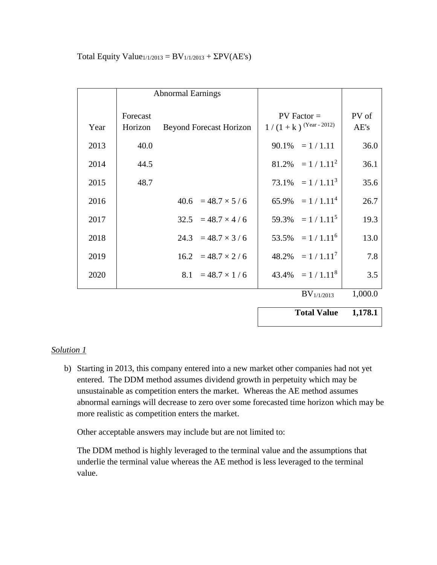|      |                     | <b>Abnormal Earnings</b>       |                                          |               |
|------|---------------------|--------------------------------|------------------------------------------|---------------|
| Year | Forecast<br>Horizon | <b>Beyond Forecast Horizon</b> | $PV Factor =$<br>$1/(1+k)$ (Year - 2012) | PV of<br>AE's |
| 2013 | 40.0                |                                | $90.1\% = 1 / 1.11$                      | 36.0          |
| 2014 | 44.5                |                                | $81.2\% = 1 / 1.11^2$                    | 36.1          |
| 2015 | 48.7                |                                | $73.1\% = 1 / 1.11^3$                    | 35.6          |
| 2016 |                     | $40.6 = 48.7 \times 5 / 6$     | 65.9% = $1/1.114$                        | 26.7          |
| 2017 |                     | $32.5 = 48.7 \times 4 / 6$     | $59.3\% = 1 / 1.11^5$                    | 19.3          |
| 2018 |                     | $24.3 = 48.7 \times 3 / 6$     | $53.5\% = 1 / 1.11^6$                    | 13.0          |
| 2019 |                     | $16.2 = 48.7 \times 2 / 6$     | $48.2\% = 1 / 1.11^{7}$                  | 7.8           |
| 2020 |                     | $8.1 = 48.7 \times 1/6$        | $43.4\% = 1 / 1.11^8$                    | 3.5           |
|      |                     |                                | $BV_{1/1/2013}$                          | 1,000.0       |
|      |                     |                                | <b>Total Value</b>                       | 1,178.1       |

Total Equity Value $_{1/1/2013} = BV_{1/1/2013} + \Sigma PV(AE's)$ 

# *Solution 1*

b) Starting in 2013, this company entered into a new market other companies had not yet entered. The DDM method assumes dividend growth in perpetuity which may be unsustainable as competition enters the market. Whereas the AE method assumes abnormal earnings will decrease to zero over some forecasted time horizon which may be more realistic as competition enters the market.

Other acceptable answers may include but are not limited to:

The DDM method is highly leveraged to the terminal value and the assumptions that underlie the terminal value whereas the AE method is less leveraged to the terminal value.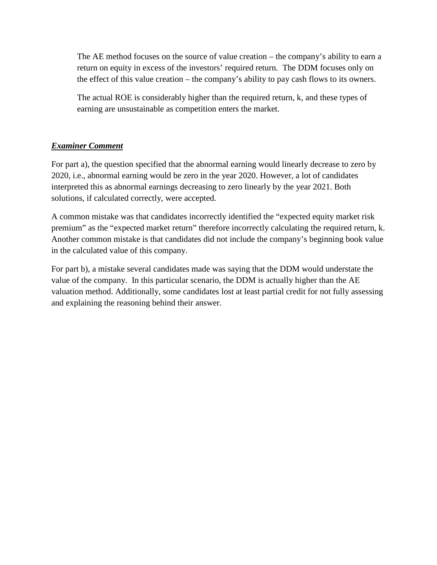The AE method focuses on the source of value creation – the company's ability to earn a return on equity in excess of the investors' required return. The DDM focuses only on the effect of this value creation – the company's ability to pay cash flows to its owners.

The actual ROE is considerably higher than the required return, k, and these types of earning are unsustainable as competition enters the market.

# *Examiner Comment*

For part a), the question specified that the abnormal earning would linearly decrease to zero by 2020, i.e., abnormal earning would be zero in the year 2020. However, a lot of candidates interpreted this as abnormal earnings decreasing to zero linearly by the year 2021. Both solutions, if calculated correctly, were accepted.

A common mistake was that candidates incorrectly identified the "expected equity market risk premium" as the "expected market return" therefore incorrectly calculating the required return, k. Another common mistake is that candidates did not include the company's beginning book value in the calculated value of this company.

For part b), a mistake several candidates made was saying that the DDM would understate the value of the company. In this particular scenario, the DDM is actually higher than the AE valuation method. Additionally, some candidates lost at least partial credit for not fully assessing and explaining the reasoning behind their answer.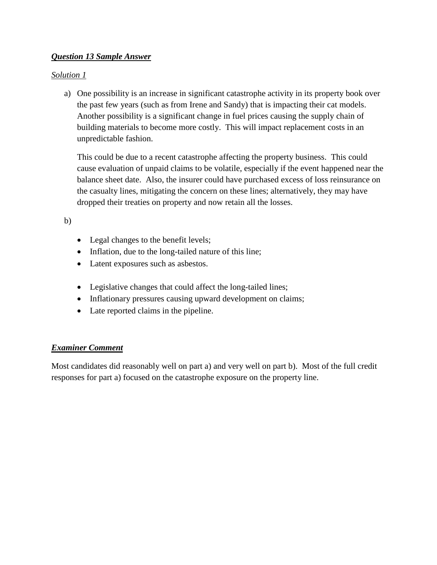# *Question 13 Sample Answer*

# *Solution 1*

a) One possibility is an increase in significant catastrophe activity in its property book over the past few years (such as from Irene and Sandy) that is impacting their cat models. Another possibility is a significant change in fuel prices causing the supply chain of building materials to become more costly. This will impact replacement costs in an unpredictable fashion.

This could be due to a recent catastrophe affecting the property business. This could cause evaluation of unpaid claims to be volatile, especially if the event happened near the balance sheet date. Also, the insurer could have purchased excess of loss reinsurance on the casualty lines, mitigating the concern on these lines; alternatively, they may have dropped their treaties on property and now retain all the losses.

b)

- Legal changes to the benefit levels;
- Inflation, due to the long-tailed nature of this line;
- Latent exposures such as asbestos.
- Legislative changes that could affect the long-tailed lines;
- Inflationary pressures causing upward development on claims;
- Late reported claims in the pipeline.

# *Examiner Comment*

Most candidates did reasonably well on part a) and very well on part b). Most of the full credit responses for part a) focused on the catastrophe exposure on the property line.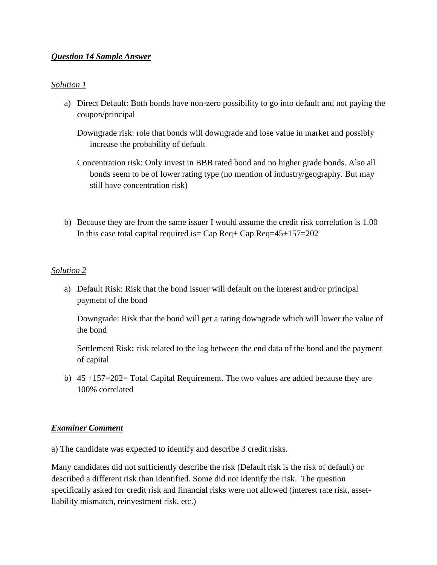### *Question 14 Sample Answer*

### *Solution 1*

a) Direct Default: Both bonds have non-zero possibility to go into default and not paying the coupon/principal

Downgrade risk: role that bonds will downgrade and lose value in market and possibly increase the probability of default

Concentration risk: Only invest in BBB rated bond and no higher grade bonds. Also all bonds seem to be of lower rating type (no mention of industry/geography. But may still have concentration risk)

b) Because they are from the same issuer I would assume the credit risk correlation is 1.00 In this case total capital required is  $=$  Cap Req + Cap Req  $=$  45+157 $=$  202

### *Solution 2*

a) Default Risk: Risk that the bond issuer will default on the interest and/or principal payment of the bond

Downgrade: Risk that the bond will get a rating downgrade which will lower the value of the bond

Settlement Risk: risk related to the lag between the end data of the bond and the payment of capital

b) 45 +157=202= Total Capital Requirement. The two values are added because they are 100% correlated

### *Examiner Comment*

a) The candidate was expected to identify and describe 3 credit risks.

Many candidates did not sufficiently describe the risk (Default risk is the risk of default) or described a different risk than identified. Some did not identify the risk. The question specifically asked for credit risk and financial risks were not allowed (interest rate risk, assetliability mismatch, reinvestment risk, etc.)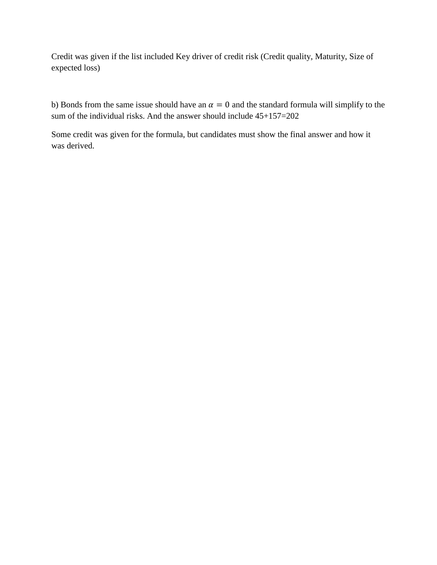Credit was given if the list included Key driver of credit risk (Credit quality, Maturity, Size of expected loss)

b) Bonds from the same issue should have an  $\alpha = 0$  and the standard formula will simplify to the sum of the individual risks. And the answer should include 45+157=202

Some credit was given for the formula, but candidates must show the final answer and how it was derived.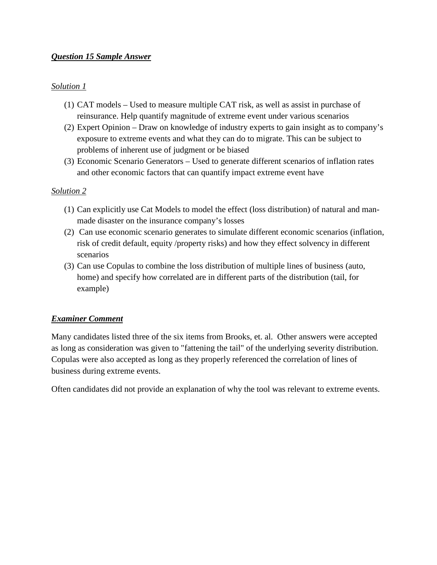# *Question 15 Sample Answer*

### *Solution 1*

- (1) CAT models Used to measure multiple CAT risk, as well as assist in purchase of reinsurance. Help quantify magnitude of extreme event under various scenarios
- (2) Expert Opinion Draw on knowledge of industry experts to gain insight as to company's exposure to extreme events and what they can do to migrate. This can be subject to problems of inherent use of judgment or be biased
- (3) Economic Scenario Generators Used to generate different scenarios of inflation rates and other economic factors that can quantify impact extreme event have

### *Solution 2*

- (1) Can explicitly use Cat Models to model the effect (loss distribution) of natural and manmade disaster on the insurance company's losses
- (2) Can use economic scenario generates to simulate different economic scenarios (inflation, risk of credit default, equity /property risks) and how they effect solvency in different scenarios
- (3) Can use Copulas to combine the loss distribution of multiple lines of business (auto, home) and specify how correlated are in different parts of the distribution (tail, for example)

# *Examiner Comment*

Many candidates listed three of the six items from Brooks, et. al. Other answers were accepted as long as consideration was given to "fattening the tail" of the underlying severity distribution. Copulas were also accepted as long as they properly referenced the correlation of lines of business during extreme events.

Often candidates did not provide an explanation of why the tool was relevant to extreme events.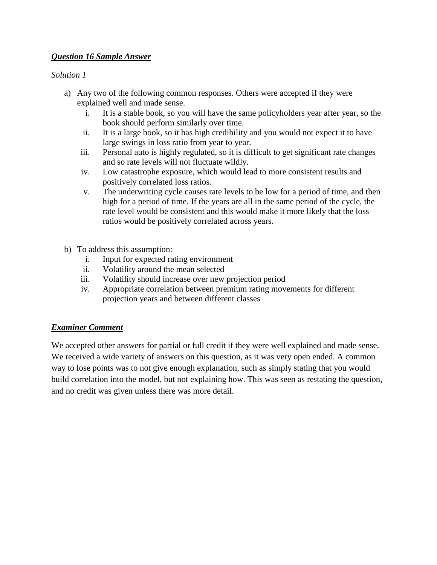# *Question 16 Sample Answer*

# *Solution 1*

- a) Any two of the following common responses. Others were accepted if they were explained well and made sense.
	- i. It is a stable book, so you will have the same policyholders year after year, so the book should perform similarly over time.
	- ii. It is a large book, so it has high credibility and you would not expect it to have large swings in loss ratio from year to year.
	- iii. Personal auto is highly regulated, so it is difficult to get significant rate changes and so rate levels will not fluctuate wildly.
	- iv. Low catastrophe exposure, which would lead to more consistent results and positively correlated loss ratios.
	- v. The underwriting cycle causes rate levels to be low for a period of time, and then high for a period of time. If the years are all in the same period of the cycle, the rate level would be consistent and this would make it more likely that the loss ratios would be positively correlated across years.
- b) To address this assumption:
	- i. Input for expected rating environment
	- ii. Volatility around the mean selected
	- iii. Volatility should increase over new projection period
	- iv. Appropriate correlation between premium rating movements for different projection years and between different classes

# *Examiner Comment*

We accepted other answers for partial or full credit if they were well explained and made sense. We received a wide variety of answers on this question, as it was very open ended. A common way to lose points was to not give enough explanation, such as simply stating that you would build correlation into the model, but not explaining how. This was seen as restating the question, and no credit was given unless there was more detail.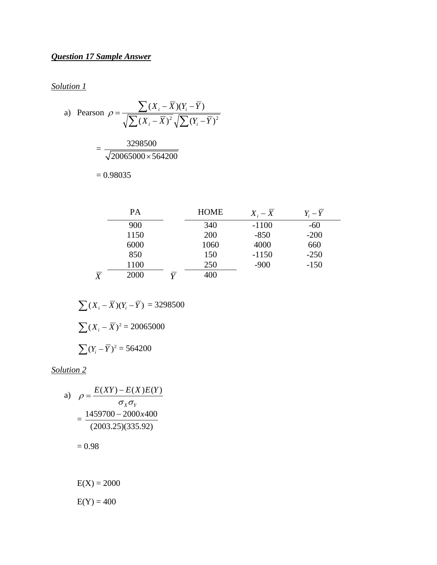# *Question 17 Sample Answer*

*Solution 1*

a) Pearson 
$$
\rho = \frac{\sum (X_i - \overline{X})(Y_i - \overline{Y})}{\sqrt{\sum (X_i - \overline{X})^2} \sqrt{\sum (Y_i - \overline{Y})^2}}
$$
  
=  $\frac{3298500}{\sqrt{20065000 \times 564200}}$   
= 0.98035

|                | PА   |              | <b>HOME</b> | $X_i - X$ | $Y_i-Y$ |
|----------------|------|--------------|-------------|-----------|---------|
|                | 900  |              | 340         | $-1100$   | $-60$   |
|                | 1150 |              | 200         | $-850$    | $-200$  |
|                | 6000 |              | 1060        | 4000      | 660     |
|                | 850  |              | 150         | $-1150$   | $-250$  |
|                | 1100 |              | 250         | $-900$    | $-150$  |
| $\overline{X}$ | 2000 | $\mathbf{v}$ | 400         |           |         |

$$
\sum (X_i - \overline{X})(Y_i - \overline{Y}) = 3298500
$$

$$
\sum (X_i - \overline{X})^2 = 20065000
$$

$$
\sum (Y_i - \overline{Y})^2 = 564200
$$

*Solution 2*

a) 
$$
\rho = \frac{E(XY) - E(X)E(Y)}{\sigma_X \sigma_Y}
$$

$$
= \frac{1459700 - 2000x400}{(2003.25)(335.92)}
$$

 $= 0.98$ 

 $E(X) = 2000$ 

 $E(Y) = 400$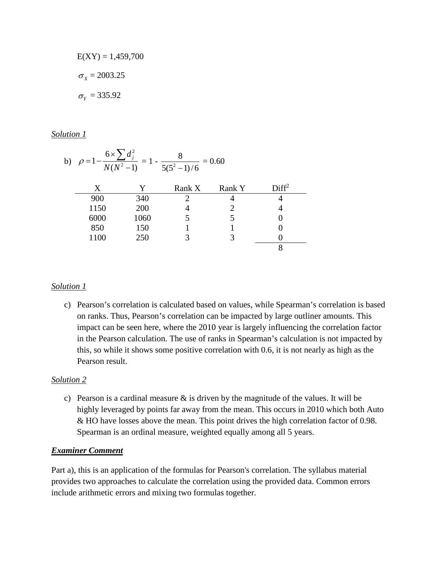$$
E(XY) = 1,459,700
$$

$$
\sigma_X = 2003.25
$$

$$
\sigma_Y = 335.92
$$

### *Solution 1*

| b) | 6x<br>$\rho = 1$<br>$= 0.60$<br>$N(N^2-1)$<br>$\frac{1}{5(5^2-1)/6}$ |      |        |        |                   |  |  |  |
|----|----------------------------------------------------------------------|------|--------|--------|-------------------|--|--|--|
|    | X                                                                    | Y    | Rank X | Rank Y | Diff <sup>2</sup> |  |  |  |
|    | 900                                                                  | 340  | ∍      |        |                   |  |  |  |
|    | 1150                                                                 | 200  |        |        |                   |  |  |  |
|    | 6000                                                                 | 1060 |        |        |                   |  |  |  |
|    | 850                                                                  | 150  |        |        |                   |  |  |  |
|    | 1100                                                                 | 250  |        | 3      |                   |  |  |  |
|    |                                                                      |      |        |        | 8                 |  |  |  |

### *Solution 1*

c) Pearson's correlation is calculated based on values, while Spearman's correlation is based on ranks. Thus, Pearson's correlation can be impacted by large outliner amounts. This impact can be seen here, where the 2010 year is largely influencing the correlation factor in the Pearson calculation. The use of ranks in Spearman's calculation is not impacted by this, so while it shows some positive correlation with 0.6, it is not nearly as high as the Pearson result.

### *Solution 2*

c) Pearson is a cardinal measure  $\&$  is driven by the magnitude of the values. It will be highly leveraged by points far away from the mean. This occurs in 2010 which both Auto & HO have losses above the mean. This point drives the high correlation factor of 0.98. Spearman is an ordinal measure, weighted equally among all 5 years.

# *Examiner Comment*

Part a), this is an application of the formulas for Pearson's correlation. The syllabus material provides two approaches to calculate the correlation using the provided data. Common errors include arithmetic errors and mixing two formulas together.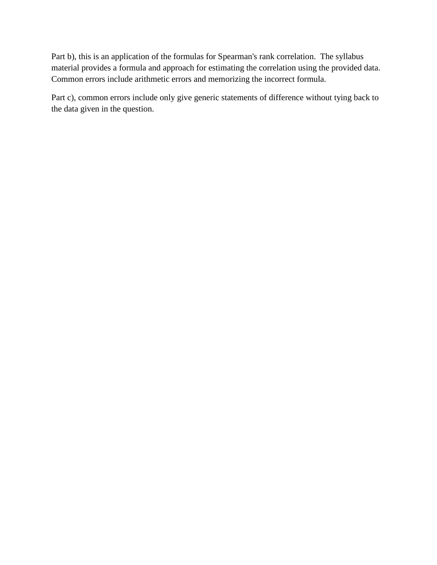Part b), this is an application of the formulas for Spearman's rank correlation. The syllabus material provides a formula and approach for estimating the correlation using the provided data. Common errors include arithmetic errors and memorizing the incorrect formula.

Part c), common errors include only give generic statements of difference without tying back to the data given in the question.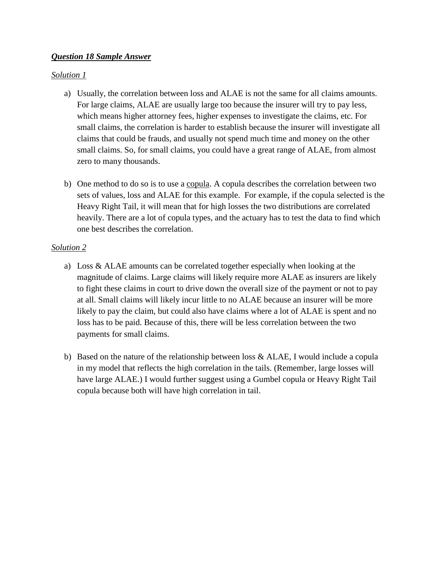## *Question 18 Sample Answer*

## *Solution 1*

- a) Usually, the correlation between loss and ALAE is not the same for all claims amounts. For large claims, ALAE are usually large too because the insurer will try to pay less, which means higher attorney fees, higher expenses to investigate the claims, etc. For small claims, the correlation is harder to establish because the insurer will investigate all claims that could be frauds, and usually not spend much time and money on the other small claims. So, for small claims, you could have a great range of ALAE, from almost zero to many thousands.
- b) One method to do so is to use a copula. A copula describes the correlation between two sets of values, loss and ALAE for this example. For example, if the copula selected is the Heavy Right Tail, it will mean that for high losses the two distributions are correlated heavily. There are a lot of copula types, and the actuary has to test the data to find which one best describes the correlation.

## *Solution 2*

- a) Loss & ALAE amounts can be correlated together especially when looking at the magnitude of claims. Large claims will likely require more ALAE as insurers are likely to fight these claims in court to drive down the overall size of the payment or not to pay at all. Small claims will likely incur little to no ALAE because an insurer will be more likely to pay the claim, but could also have claims where a lot of ALAE is spent and no loss has to be paid. Because of this, there will be less correlation between the two payments for small claims.
- b) Based on the nature of the relationship between loss & ALAE, I would include a copula in my model that reflects the high correlation in the tails. (Remember, large losses will have large ALAE.) I would further suggest using a Gumbel copula or Heavy Right Tail copula because both will have high correlation in tail.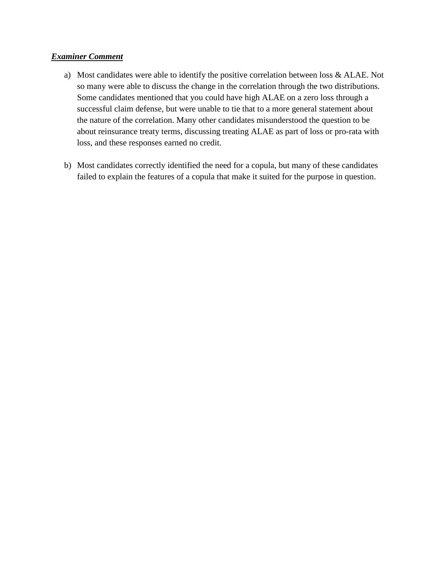## *Examiner Comment*

- a) Most candidates were able to identify the positive correlation between loss & ALAE. Not so many were able to discuss the change in the correlation through the two distributions. Some candidates mentioned that you could have high ALAE on a zero loss through a successful claim defense, but were unable to tie that to a more general statement about the nature of the correlation. Many other candidates misunderstood the question to be about reinsurance treaty terms, discussing treating ALAE as part of loss or pro-rata with loss, and these responses earned no credit.
- b) Most candidates correctly identified the need for a copula, but many of these candidates failed to explain the features of a copula that make it suited for the purpose in question.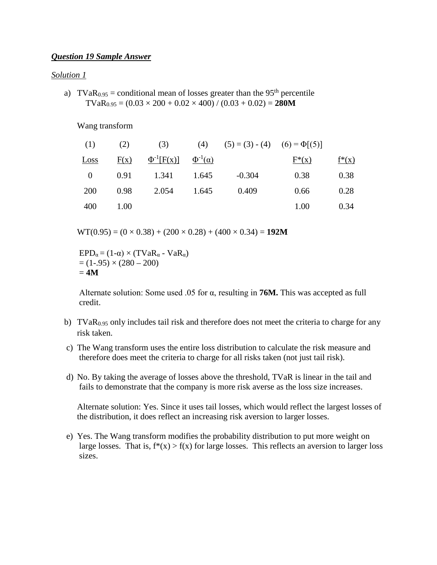### *Question 19 Sample Answer*

#### *Solution 1*

a) TVaR<sub>0.95</sub> = conditional mean of losses greater than the 95<sup>th</sup> percentile  $TVaR<sub>0.95</sub> = (0.03 \times 200 + 0.02 \times 400) / (0.03 + 0.02) = 280M$ 

#### Wang transform

| (1)      | (2)  | (3)               |                     | (4) $(5) = (3) - (4)$ $(6) = \Phi[(5)]$ |          |          |
|----------|------|-------------------|---------------------|-----------------------------------------|----------|----------|
| Loss     | F(x) | $\Phi^{-1}[F(x)]$ | $\Phi^{-1}(\alpha)$ |                                         | $F^*(x)$ | $f^*(x)$ |
| $\Omega$ | 0.91 | 1.341             | 1.645               | $-0.304$                                | 0.38     | 0.38     |
| 200      | 0.98 | 2.054             | 1.645               | 0.409                                   | 0.66     | 0.28     |
| 400      | 1.00 |                   |                     |                                         | 1.00     | 0.34     |

 $WT(0.95) = (0 \times 0.38) + (200 \times 0.28) + (400 \times 0.34) = 192M$ 

 $EPD_{\alpha} = (1-\alpha) \times (TVaR_{\alpha} - VaR_{\alpha})$  $= (1-.95) \times (280 - 200)$  $= 4M$ 

Alternate solution: Some used .05 for α, resulting in **76M.** This was accepted as full credit.

- b) TVaR<sub>0.95</sub> only includes tail risk and therefore does not meet the criteria to charge for any risk taken.
- c) The Wang transform uses the entire loss distribution to calculate the risk measure and therefore does meet the criteria to charge for all risks taken (not just tail risk).
- d) No. By taking the average of losses above the threshold, TVaR is linear in the tail and fails to demonstrate that the company is more risk averse as the loss size increases.

Alternate solution: Yes. Since it uses tail losses, which would reflect the largest losses of the distribution, it does reflect an increasing risk aversion to larger losses.

e) Yes. The Wang transform modifies the probability distribution to put more weight on large losses. That is,  $f^*(x) > f(x)$  for large losses. This reflects an aversion to larger loss sizes.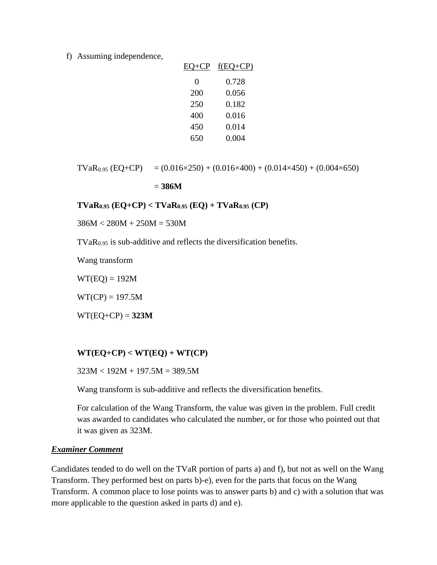f) Assuming independence,

| EO+CP | $f(EQ+CP)$ |
|-------|------------|
| 0     | 0.728      |
| 200   | 0.056      |
| 250   | 0.182      |
| 400   | 0.016      |
| 450   | 0.014      |
| 650   | 0.004      |

$$
TVaR_{0.95} (EQ+CP) = (0.016 \times 250) + (0.016 \times 400) + (0.014 \times 450) + (0.004 \times 650)
$$

= **386M**

**TVaR0.95 (EQ+CP) < TVaR0.95 (EQ) + TVaR0.95 (CP)**

 $386M < 280M + 250M = 530M$ 

 $TVaR<sub>0.95</sub>$  is sub-additive and reflects the diversification benefits.

Wang transform

 $WT(EQ) = 192M$ 

 $WT(CP) = 197.5M$ 

 $WT(EQ+CP) = 323M$ 

### $WT(EQ+CP) < WT(EQ) + WT(CP)$

 $323M < 192M + 197.5M = 389.5M$ 

Wang transform is sub-additive and reflects the diversification benefits.

For calculation of the Wang Transform, the value was given in the problem. Full credit was awarded to candidates who calculated the number, or for those who pointed out that it was given as 323M.

### *Examiner Comment*

Candidates tended to do well on the TVaR portion of parts a) and f), but not as well on the Wang Transform. They performed best on parts b)-e), even for the parts that focus on the Wang Transform. A common place to lose points was to answer parts b) and c) with a solution that was more applicable to the question asked in parts d) and e).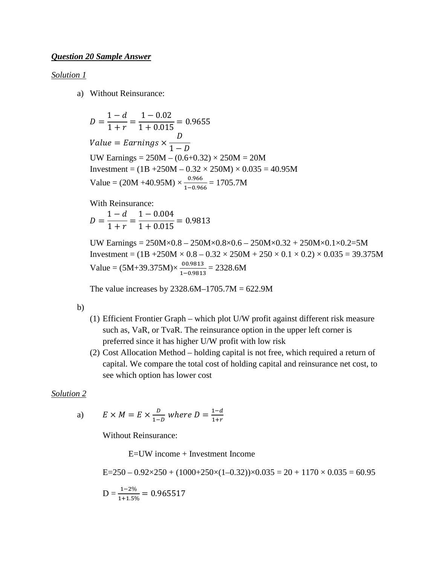#### *Solution 1*

a) Without Reinsurance:

 $D = \frac{1 - d}{1 + r} = \frac{1 - 0.02}{1 + 0.015} = 0.9655$  $Value = Earnings \times$  $\overline{\nu}$  $1-D$ UW Earnings =  $250M - (0.6+0.32) \times 250M = 20M$ Investment =  $(1B + 250M - 0.32 \times 250M) \times 0.035 = 40.95M$ Value =  $(20M +40.95M) \times \frac{0.966}{1.006}$  $\frac{0.900}{1-0.966} = 1705.7M$ 

With Reinsurance:  $D = \frac{1 - d}{1 + r} = \frac{1 - 0.004}{1 + 0.015} = 0.9813$ 

UW Earnings = 250M×0.8 – 250M×0.8×0.6 – 250M×0.32 + 250M×0.1×0.2=5M Investment =  $(1B + 250M \times 0.8 - 0.32 \times 250M + 250 \times 0.1 \times 0.2) \times 0.035 = 39.375M$ Value =  $(5M+39.375M) \times \frac{00.9813}{1.00213}$  $\frac{00.9813}{1-0.9813} = 2328.6M$ 

The value increases by  $2328.6M-1705.7M = 622.9M$ 

b)

- (1) Efficient Frontier Graph which plot U/W profit against different risk measure such as, VaR, or TvaR. The reinsurance option in the upper left corner is preferred since it has higher U/W profit with low risk
- (2) Cost Allocation Method holding capital is not free, which required a return of capital. We compare the total cost of holding capital and reinsurance net cost, to see which option has lower cost

#### *Solution 2*

a) 
$$
E \times M = E \times \frac{D}{1-D}
$$
 where  $D = \frac{1-d}{1+r}$ 

Without Reinsurance:

E=UW income + Investment Income

$$
E=250 - 0.92 \times 250 + (1000 + 250 \times (1 - 0.32)) \times 0.035 = 20 + 1170 \times 0.035 = 60.95
$$
  

$$
D = \frac{1-2\%}{1+1.5\%} = 0.965517
$$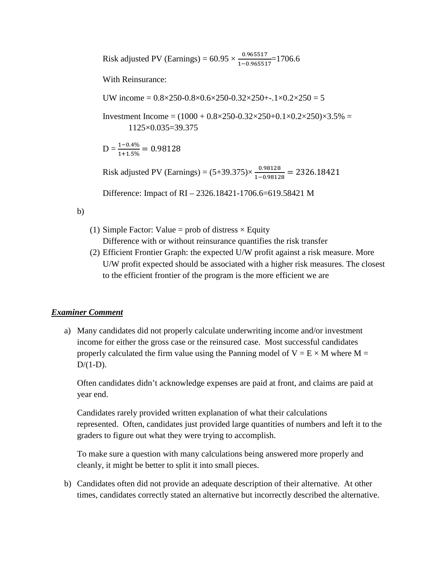Risk adjusted PV (Earnings) =  $60.95 \times \frac{0.965517}{1.006551}$  $\frac{0.903317}{1-0.965517}$  = 1706.6

With Reinsurance:

UW income =  $0.8 \times 250 - 0.8 \times 0.6 \times 250 - 0.32 \times 250 + 0.1 \times 0.2 \times 250 = 5$ 

Investment Income =  $(1000 + 0.8 \times 250 - 0.32 \times 250 + 0.1 \times 0.2 \times 250) \times 3.5\% =$ 1125×0.035=39.375

 $D = \frac{1-0.4\%}{1+1.5\%} = 0.98128$ 

Risk adjusted PV (Earnings) =  $(5+39.375) \times \frac{0.98128}{1-0.98128} = 2326.18421$ 

Difference: Impact of RI – 2326.18421-1706.6=619.58421 M

b)

- (1) Simple Factor: Value = prob of distress  $\times$  Equity Difference with or without reinsurance quantifies the risk transfer
- (2) Efficient Frontier Graph: the expected U/W profit against a risk measure. More U/W profit expected should be associated with a higher risk measures. The closest to the efficient frontier of the program is the more efficient we are

## *Examiner Comment*

a) Many candidates did not properly calculate underwriting income and/or investment income for either the gross case or the reinsured case. Most successful candidates properly calculated the firm value using the Panning model of  $V = E \times M$  where M =  $D/(1-D)$ .

Often candidates didn't acknowledge expenses are paid at front, and claims are paid at year end.

Candidates rarely provided written explanation of what their calculations represented. Often, candidates just provided large quantities of numbers and left it to the graders to figure out what they were trying to accomplish.

To make sure a question with many calculations being answered more properly and cleanly, it might be better to split it into small pieces.

b) Candidates often did not provide an adequate description of their alternative. At other times, candidates correctly stated an alternative but incorrectly described the alternative.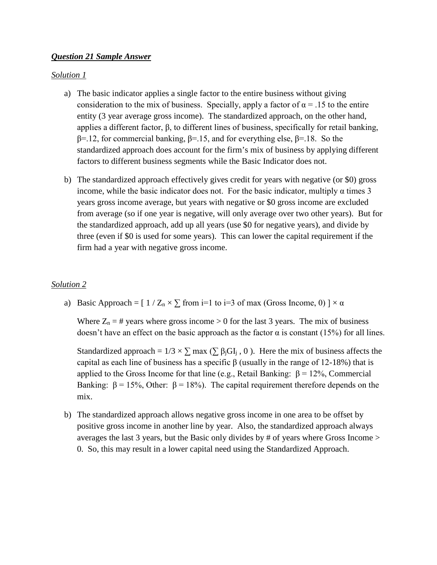### *Question 21 Sample Answer*

### *Solution 1*

- a) The basic indicator applies a single factor to the entire business without giving consideration to the mix of business. Specially, apply a factor of  $\alpha = .15$  to the entire entity (3 year average gross income). The standardized approach, on the other hand, applies a different factor, β, to different lines of business, specifically for retail banking, β=.12, for commercial banking, β=.15, and for everything else, β=.18. So the standardized approach does account for the firm's mix of business by applying different factors to different business segments while the Basic Indicator does not.
- b) The standardized approach effectively gives credit for years with negative (or \$0) gross income, while the basic indicator does not. For the basic indicator, multiply  $\alpha$  times 3 years gross income average, but years with negative or \$0 gross income are excluded from average (so if one year is negative, will only average over two other years). But for the standardized approach, add up all years (use \$0 for negative years), and divide by three (even if \$0 is used for some years). This can lower the capital requirement if the firm had a year with negative gross income.

### *Solution 2*

a) Basic Approach =  $[1 / Z_n \times \Sigma$  from i=1 to i=3 of max (Gross Income, 0)  $] \times \alpha$ 

Where  $Z_n = #$  years where gross income  $> 0$  for the last 3 years. The mix of business doesn't have an effect on the basic approach as the factor  $\alpha$  is constant (15%) for all lines.

Standardized approach =  $1/3 \times \sum$  max ( $\sum \beta_j GI_j$ , 0). Here the mix of business affects the capital as each line of business has a specific β (usually in the range of 12-18%) that is applied to the Gross Income for that line (e.g., Retail Banking:  $β = 12%$ , Commercial Banking:  $\beta = 15\%$ , Other:  $\beta = 18\%$ ). The capital requirement therefore depends on the mix.

b) The standardized approach allows negative gross income in one area to be offset by positive gross income in another line by year. Also, the standardized approach always averages the last 3 years, but the Basic only divides by # of years where Gross Income > 0. So, this may result in a lower capital need using the Standardized Approach.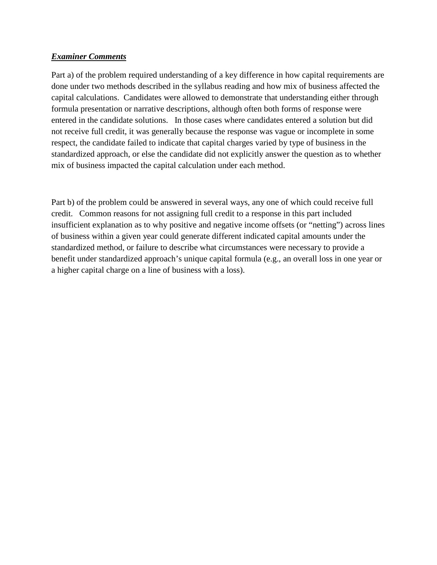## *Examiner Comments*

Part a) of the problem required understanding of a key difference in how capital requirements are done under two methods described in the syllabus reading and how mix of business affected the capital calculations. Candidates were allowed to demonstrate that understanding either through formula presentation or narrative descriptions, although often both forms of response were entered in the candidate solutions. In those cases where candidates entered a solution but did not receive full credit, it was generally because the response was vague or incomplete in some respect, the candidate failed to indicate that capital charges varied by type of business in the standardized approach, or else the candidate did not explicitly answer the question as to whether mix of business impacted the capital calculation under each method.

Part b) of the problem could be answered in several ways, any one of which could receive full credit. Common reasons for not assigning full credit to a response in this part included insufficient explanation as to why positive and negative income offsets (or "netting") across lines of business within a given year could generate different indicated capital amounts under the standardized method, or failure to describe what circumstances were necessary to provide a benefit under standardized approach's unique capital formula (e.g., an overall loss in one year or a higher capital charge on a line of business with a loss).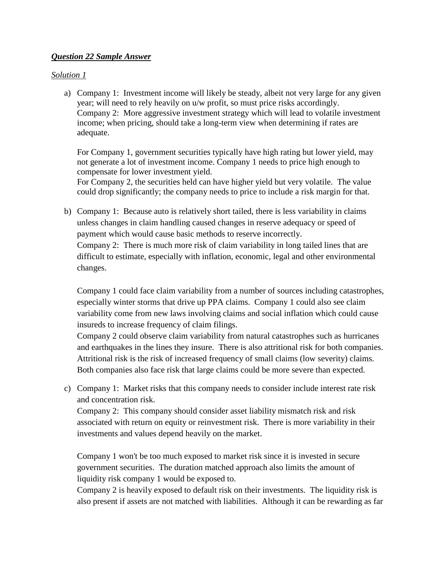## *Question 22 Sample Answer*

## *Solution 1*

a) Company 1: Investment income will likely be steady, albeit not very large for any given year; will need to rely heavily on u/w profit, so must price risks accordingly. Company 2: More aggressive investment strategy which will lead to volatile investment income; when pricing, should take a long-term view when determining if rates are adequate.

For Company 1, government securities typically have high rating but lower yield, may not generate a lot of investment income. Company 1 needs to price high enough to compensate for lower investment yield.

For Company 2, the securities held can have higher yield but very volatile. The value could drop significantly; the company needs to price to include a risk margin for that.

b) Company 1: Because auto is relatively short tailed, there is less variability in claims unless changes in claim handling caused changes in reserve adequacy or speed of payment which would cause basic methods to reserve incorrectly. Company 2: There is much more risk of claim variability in long tailed lines that are difficult to estimate, especially with inflation, economic, legal and other environmental changes.

Company 1 could face claim variability from a number of sources including catastrophes, especially winter storms that drive up PPA claims. Company 1 could also see claim variability come from new laws involving claims and social inflation which could cause insureds to increase frequency of claim filings.

Company 2 could observe claim variability from natural catastrophes such as hurricanes and earthquakes in the lines they insure. There is also attritional risk for both companies. Attritional risk is the risk of increased frequency of small claims (low severity) claims. Both companies also face risk that large claims could be more severe than expected.

c) Company 1: Market risks that this company needs to consider include interest rate risk and concentration risk.

Company 2: This company should consider asset liability mismatch risk and risk associated with return on equity or reinvestment risk. There is more variability in their investments and values depend heavily on the market.

Company 1 won't be too much exposed to market risk since it is invested in secure government securities. The duration matched approach also limits the amount of liquidity risk company 1 would be exposed to.

Company 2 is heavily exposed to default risk on their investments. The liquidity risk is also present if assets are not matched with liabilities. Although it can be rewarding as far